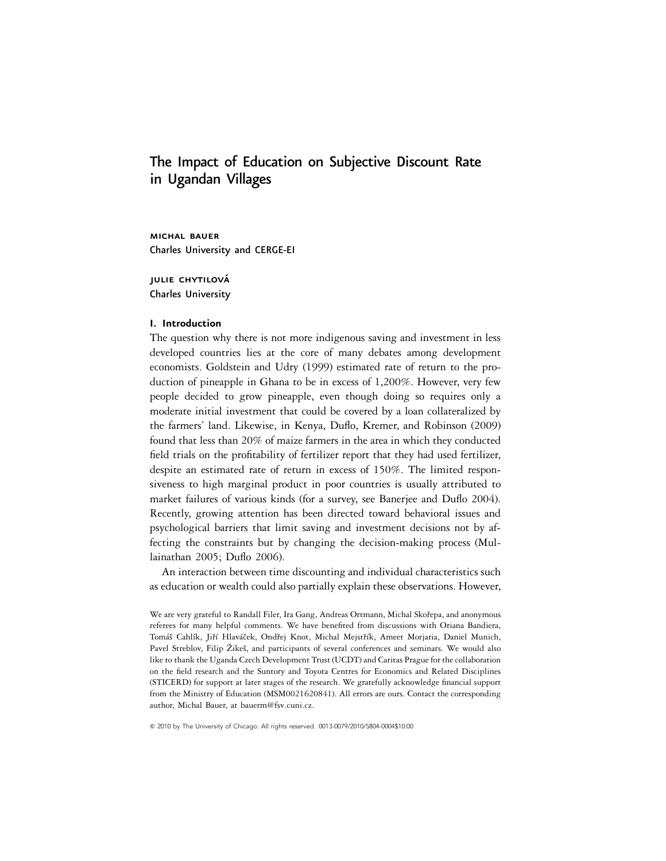# The Impact of Education on Subjective Discount Rate in Ugandan Villages

michal bauerCharles University and CERGE-EI

julie chytilova´ Charles University

# **I. Introduction**

The question why there is not more indigenous saving and investment in less developed countries lies at the core of many debates among development economists. Goldstein and Udry (1999) estimated rate of return to the production of pineapple in Ghana to be in excess of 1,200%. However, very few people decided to grow pineapple, even though doing so requires only a moderate initial investment that could be covered by a loan collateralized by the farmers' land. Likewise, in Kenya, Duflo, Kremer, and Robinson (2009) found that less than 20% of maize farmers in the area in which they conducted field trials on the profitability of fertilizer report that they had used fertilizer, despite an estimated rate of return in excess of 150%. The limited responsiveness to high marginal product in poor countries is usually attributed to market failures of various kinds (for a survey, see Banerjee and Duflo 2004). Recently, growing attention has been directed toward behavioral issues and psychological barriers that limit saving and investment decisions not by affecting the constraints but by changing the decision-making process (Mullainathan 2005; Duflo 2006).

An interaction between time discounting and individual characteristics such as education or wealth could also partially explain these observations. However,

We are very grateful to Randall Filer, Ira Gang, Andreas Ortmann, Michal Skořepa, and anonymous referees for many helpful comments. We have benefited from discussions with Oriana Bandiera, Tomáš Cahlík, Jiří Hlaváček, Ondřej Knot, Michal Mejstřík, Ameet Morjaria, Daniel Munich, Pavel Streblov, Filip Žikeš, and participants of several conferences and seminars. We would also like to thank the Uganda Czech Development Trust (UCDT) and Caritas Prague for the collaboration on the field research and the Suntory and Toyota Centres for Economics and Related Disciplines (STICERD) for support at later stages of the research. We gratefully acknowledge financial support from the Ministry of Education (MSM0021620841). All errors are ours. Contact the corresponding author, Michal Bauer, at bauerm@fsv.cuni.cz.

2010 by The University of Chicago. All rights reserved. 0013-0079/2010/5804-0004\$10.00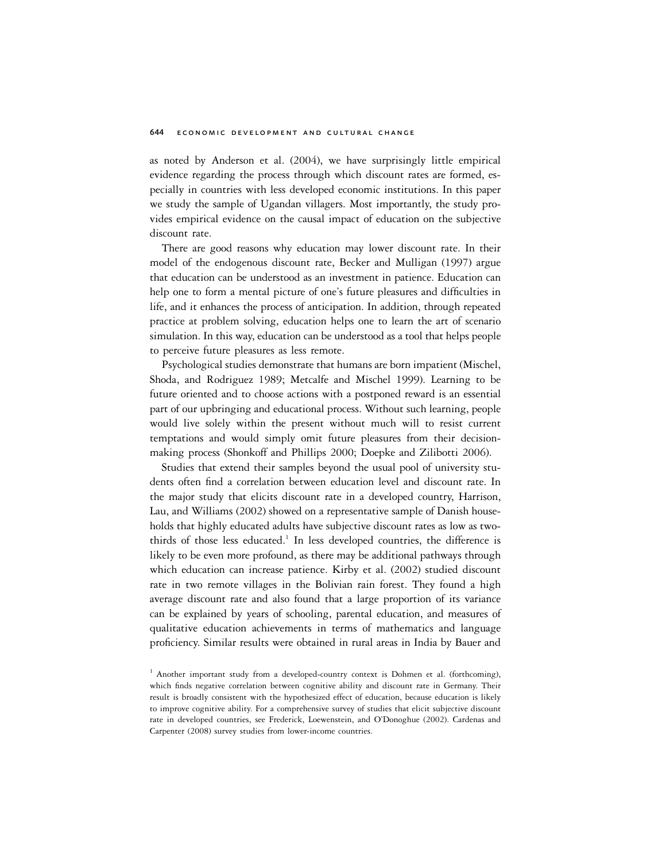as noted by Anderson et al. (2004), we have surprisingly little empirical evidence regarding the process through which discount rates are formed, especially in countries with less developed economic institutions. In this paper we study the sample of Ugandan villagers. Most importantly, the study provides empirical evidence on the causal impact of education on the subjective discount rate.

There are good reasons why education may lower discount rate. In their model of the endogenous discount rate, Becker and Mulligan (1997) argue that education can be understood as an investment in patience. Education can help one to form a mental picture of one's future pleasures and difficulties in life, and it enhances the process of anticipation. In addition, through repeated practice at problem solving, education helps one to learn the art of scenario simulation. In this way, education can be understood as a tool that helps people to perceive future pleasures as less remote.

Psychological studies demonstrate that humans are born impatient (Mischel, Shoda, and Rodriguez 1989; Metcalfe and Mischel 1999). Learning to be future oriented and to choose actions with a postponed reward is an essential part of our upbringing and educational process. Without such learning, people would live solely within the present without much will to resist current temptations and would simply omit future pleasures from their decisionmaking process (Shonkoff and Phillips 2000; Doepke and Zilibotti 2006).

Studies that extend their samples beyond the usual pool of university students often find a correlation between education level and discount rate. In the major study that elicits discount rate in a developed country, Harrison, Lau, and Williams (2002) showed on a representative sample of Danish households that highly educated adults have subjective discount rates as low as twothirds of those less educated.<sup>1</sup> In less developed countries, the difference is likely to be even more profound, as there may be additional pathways through which education can increase patience. Kirby et al. (2002) studied discount rate in two remote villages in the Bolivian rain forest. They found a high average discount rate and also found that a large proportion of its variance can be explained by years of schooling, parental education, and measures of qualitative education achievements in terms of mathematics and language proficiency. Similar results were obtained in rural areas in India by Bauer and

 $1$  Another important study from a developed-country context is Dohmen et al. (forthcoming), which finds negative correlation between cognitive ability and discount rate in Germany. Their result is broadly consistent with the hypothesized effect of education, because education is likely to improve cognitive ability. For a comprehensive survey of studies that elicit subjective discount rate in developed countries, see Frederick, Loewenstein, and O'Donoghue (2002). Cardenas and Carpenter (2008) survey studies from lower-income countries.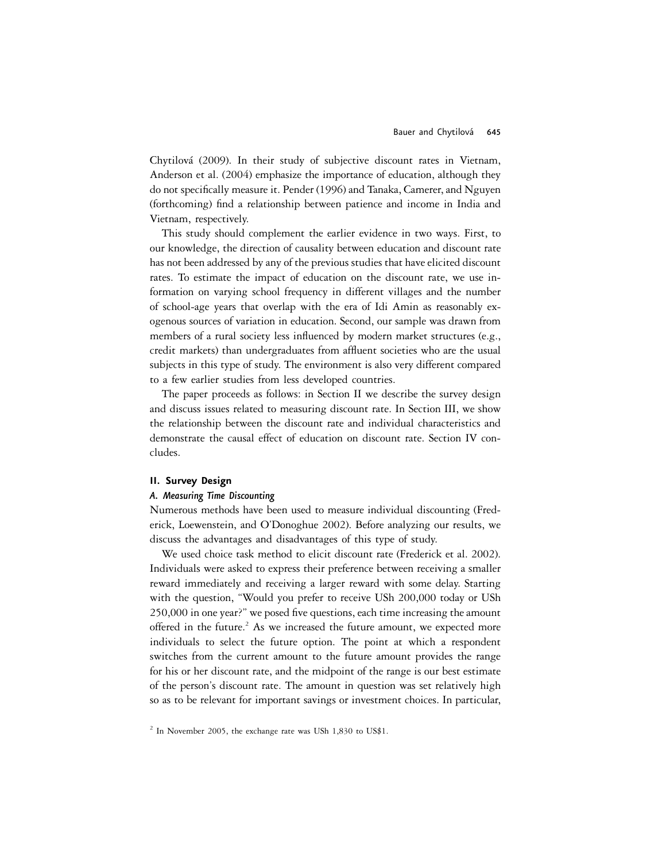Chytilova´ (2009). In their study of subjective discount rates in Vietnam, Anderson et al. (2004) emphasize the importance of education, although they do not specifically measure it. Pender (1996) and Tanaka, Camerer, and Nguyen (forthcoming) find a relationship between patience and income in India and Vietnam, respectively.

This study should complement the earlier evidence in two ways. First, to our knowledge, the direction of causality between education and discount rate has not been addressed by any of the previous studies that have elicited discount rates. To estimate the impact of education on the discount rate, we use information on varying school frequency in different villages and the number of school-age years that overlap with the era of Idi Amin as reasonably exogenous sources of variation in education. Second, our sample was drawn from members of a rural society less influenced by modern market structures (e.g., credit markets) than undergraduates from affluent societies who are the usual subjects in this type of study. The environment is also very different compared to a few earlier studies from less developed countries.

The paper proceeds as follows: in Section II we describe the survey design and discuss issues related to measuring discount rate. In Section III, we show the relationship between the discount rate and individual characteristics and demonstrate the causal effect of education on discount rate. Section IV concludes.

### **II. Survey Design**

## *A. Measuring Time Discounting*

Numerous methods have been used to measure individual discounting (Frederick, Loewenstein, and O'Donoghue 2002). Before analyzing our results, we discuss the advantages and disadvantages of this type of study.

We used choice task method to elicit discount rate (Frederick et al. 2002). Individuals were asked to express their preference between receiving a smaller reward immediately and receiving a larger reward with some delay. Starting with the question, "Would you prefer to receive USh 200,000 today or USh 250,000 in one year?" we posed five questions, each time increasing the amount offered in the future.<sup>2</sup> As we increased the future amount, we expected more individuals to select the future option. The point at which a respondent switches from the current amount to the future amount provides the range for his or her discount rate, and the midpoint of the range is our best estimate of the person's discount rate. The amount in question was set relatively high so as to be relevant for important savings or investment choices. In particular,

 $2$  In November 2005, the exchange rate was USh 1,830 to US\$1.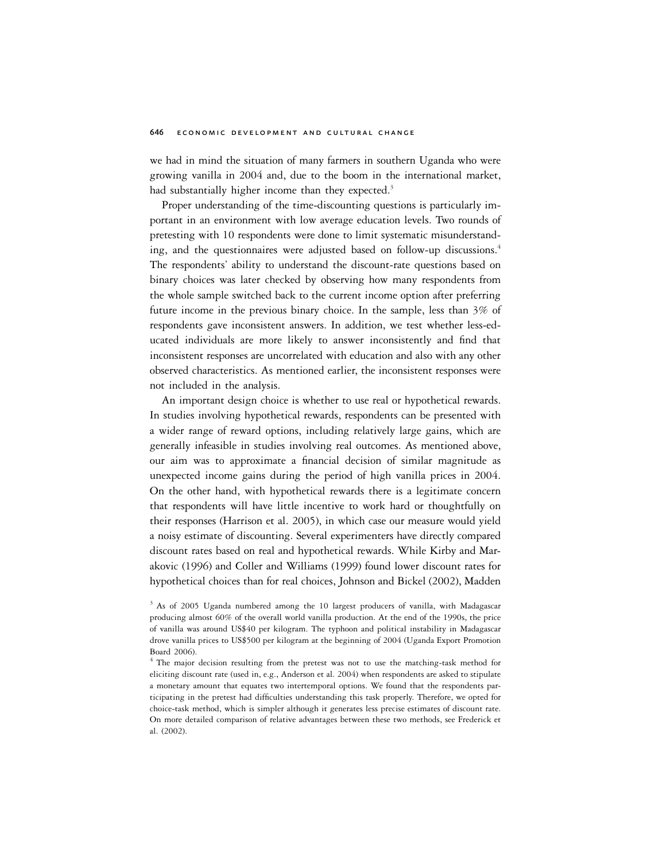we had in mind the situation of many farmers in southern Uganda who were growing vanilla in 2004 and, due to the boom in the international market, had substantially higher income than they expected.<sup>3</sup>

Proper understanding of the time-discounting questions is particularly important in an environment with low average education levels. Two rounds of pretesting with 10 respondents were done to limit systematic misunderstanding, and the questionnaires were adjusted based on follow-up discussions.<sup>4</sup> The respondents' ability to understand the discount-rate questions based on binary choices was later checked by observing how many respondents from the whole sample switched back to the current income option after preferring future income in the previous binary choice. In the sample, less than 3% of respondents gave inconsistent answers. In addition, we test whether less-educated individuals are more likely to answer inconsistently and find that inconsistent responses are uncorrelated with education and also with any other observed characteristics. As mentioned earlier, the inconsistent responses were not included in the analysis.

An important design choice is whether to use real or hypothetical rewards. In studies involving hypothetical rewards, respondents can be presented with a wider range of reward options, including relatively large gains, which are generally infeasible in studies involving real outcomes. As mentioned above, our aim was to approximate a financial decision of similar magnitude as unexpected income gains during the period of high vanilla prices in 2004. On the other hand, with hypothetical rewards there is a legitimate concern that respondents will have little incentive to work hard or thoughtfully on their responses (Harrison et al. 2005), in which case our measure would yield a noisy estimate of discounting. Several experimenters have directly compared discount rates based on real and hypothetical rewards. While Kirby and Marakovic (1996) and Coller and Williams (1999) found lower discount rates for hypothetical choices than for real choices, Johnson and Bickel (2002), Madden

 $3$  As of 2005 Uganda numbered among the 10 largest producers of vanilla, with Madagascar producing almost 60% of the overall world vanilla production. At the end of the 1990s, the price of vanilla was around US\$40 per kilogram. The typhoon and political instability in Madagascar drove vanilla prices to US\$500 per kilogram at the beginning of 2004 (Uganda Export Promotion Board 2006).

<sup>&</sup>lt;sup>4</sup> The major decision resulting from the pretest was not to use the matching-task method for eliciting discount rate (used in, e.g., Anderson et al. 2004) when respondents are asked to stipulate a monetary amount that equates two intertemporal options. We found that the respondents participating in the pretest had difficulties understanding this task properly. Therefore, we opted for choice-task method, which is simpler although it generates less precise estimates of discount rate. On more detailed comparison of relative advantages between these two methods, see Frederick et al. (2002).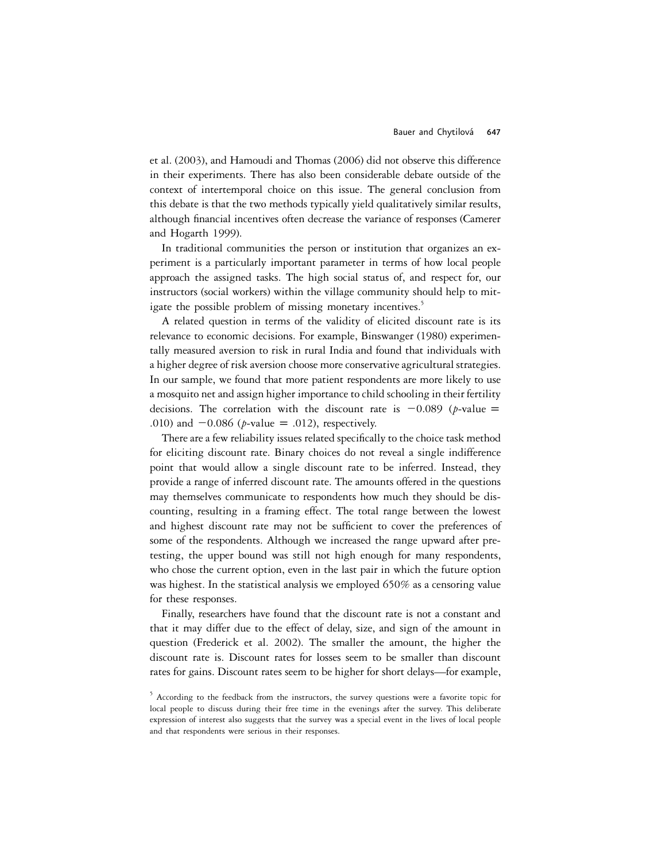et al. (2003), and Hamoudi and Thomas (2006) did not observe this difference in their experiments. There has also been considerable debate outside of the context of intertemporal choice on this issue. The general conclusion from this debate is that the two methods typically yield qualitatively similar results, although financial incentives often decrease the variance of responses (Camerer and Hogarth 1999).

In traditional communities the person or institution that organizes an experiment is a particularly important parameter in terms of how local people approach the assigned tasks. The high social status of, and respect for, our instructors (social workers) within the village community should help to mitigate the possible problem of missing monetary incentives.<sup>5</sup>

A related question in terms of the validity of elicited discount rate is its relevance to economic decisions. For example, Binswanger (1980) experimentally measured aversion to risk in rural India and found that individuals with a higher degree of risk aversion choose more conservative agricultural strategies. In our sample, we found that more patient respondents are more likely to use a mosquito net and assign higher importance to child schooling in their fertility decisions. The correlation with the discount rate is  $-0.089$  (*p*-value = .010) and  $-0.086$  (*p*-value = .012), respectively.

There are a few reliability issues related specifically to the choice task method for eliciting discount rate. Binary choices do not reveal a single indifference point that would allow a single discount rate to be inferred. Instead, they provide a range of inferred discount rate. The amounts offered in the questions may themselves communicate to respondents how much they should be discounting, resulting in a framing effect. The total range between the lowest and highest discount rate may not be sufficient to cover the preferences of some of the respondents. Although we increased the range upward after pretesting, the upper bound was still not high enough for many respondents, who chose the current option, even in the last pair in which the future option was highest. In the statistical analysis we employed 650% as a censoring value for these responses.

Finally, researchers have found that the discount rate is not a constant and that it may differ due to the effect of delay, size, and sign of the amount in question (Frederick et al. 2002). The smaller the amount, the higher the discount rate is. Discount rates for losses seem to be smaller than discount rates for gains. Discount rates seem to be higher for short delays—for example,

 $5$  According to the feedback from the instructors, the survey questions were a favorite topic for local people to discuss during their free time in the evenings after the survey. This deliberate expression of interest also suggests that the survey was a special event in the lives of local people and that respondents were serious in their responses.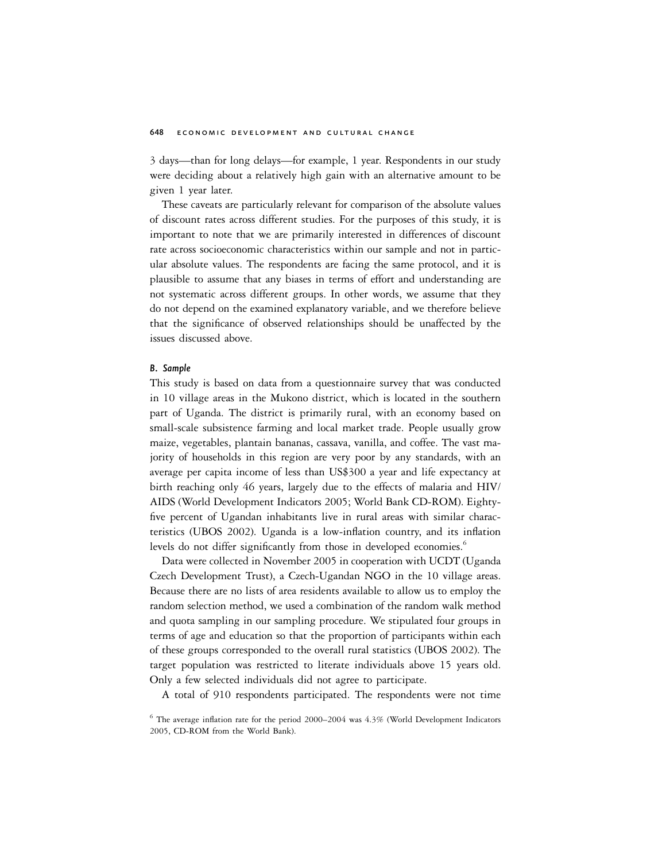3 days—than for long delays—for example, 1 year. Respondents in our study were deciding about a relatively high gain with an alternative amount to be given 1 year later.

These caveats are particularly relevant for comparison of the absolute values of discount rates across different studies. For the purposes of this study, it is important to note that we are primarily interested in differences of discount rate across socioeconomic characteristics within our sample and not in particular absolute values. The respondents are facing the same protocol, and it is plausible to assume that any biases in terms of effort and understanding are not systematic across different groups. In other words, we assume that they do not depend on the examined explanatory variable, and we therefore believe that the significance of observed relationships should be unaffected by the issues discussed above.

### *B. Sample*

This study is based on data from a questionnaire survey that was conducted in 10 village areas in the Mukono district, which is located in the southern part of Uganda. The district is primarily rural, with an economy based on small-scale subsistence farming and local market trade. People usually grow maize, vegetables, plantain bananas, cassava, vanilla, and coffee. The vast majority of households in this region are very poor by any standards, with an average per capita income of less than US\$300 a year and life expectancy at birth reaching only 46 years, largely due to the effects of malaria and HIV/ AIDS (World Development Indicators 2005; World Bank CD-ROM). Eightyfive percent of Ugandan inhabitants live in rural areas with similar characteristics (UBOS 2002). Uganda is a low-inflation country, and its inflation levels do not differ significantly from those in developed economies.<sup>6</sup>

Data were collected in November 2005 in cooperation with UCDT (Uganda Czech Development Trust), a Czech-Ugandan NGO in the 10 village areas. Because there are no lists of area residents available to allow us to employ the random selection method, we used a combination of the random walk method and quota sampling in our sampling procedure. We stipulated four groups in terms of age and education so that the proportion of participants within each of these groups corresponded to the overall rural statistics (UBOS 2002). The target population was restricted to literate individuals above 15 years old. Only a few selected individuals did not agree to participate.

A total of 910 respondents participated. The respondents were not time

 $6$  The average inflation rate for the period 2000–2004 was  $4.3\%$  (World Development Indicators 2005, CD-ROM from the World Bank).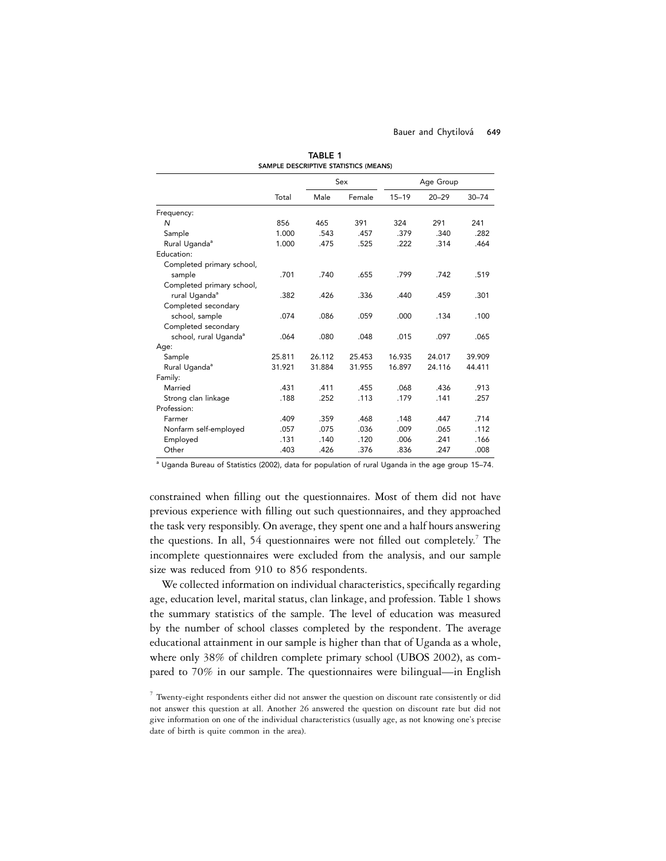|                                   |        |        | SAMPLE DESCRIPTIVE STATISTICS (MEANS) |           |           |           |
|-----------------------------------|--------|--------|---------------------------------------|-----------|-----------|-----------|
|                                   |        |        | Sex                                   |           | Age Group |           |
|                                   | Total  | Male   | Female                                | $15 - 19$ | $20 - 29$ | $30 - 74$ |
| Frequency:                        |        |        |                                       |           |           |           |
| N                                 | 856    | 465    | 391                                   | 324       | 291       | 241       |
| Sample                            | 1.000  | .543   | .457                                  | .379      | .340      | .282      |
| Rural Uganda <sup>a</sup>         | 1.000  | .475   | .525                                  | .222      | .314      | .464      |
| Education:                        |        |        |                                       |           |           |           |
| Completed primary school,         |        |        |                                       |           |           |           |
| sample                            | .701   | .740   | .655                                  | .799      | .742      | .519      |
| Completed primary school,         |        |        |                                       |           |           |           |
| rural Uganda <sup>a</sup>         | .382   | .426   | .336                                  | .440      | .459      | .301      |
| Completed secondary               |        |        |                                       |           |           |           |
| school, sample                    | .074   | .086   | .059                                  | .000      | .134      | .100      |
| Completed secondary               |        |        |                                       |           |           |           |
| school, rural Uganda <sup>a</sup> | .064   | .080   | .048                                  | .015      | .097      | .065      |
| Age:                              |        |        |                                       |           |           |           |
| Sample                            | 25.811 | 26.112 | 25.453                                | 16.935    | 24.017    | 39.909    |
| Rural Uganda <sup>a</sup>         | 31.921 | 31.884 | 31.955                                | 16.897    | 24.116    | 44.411    |
| Family:                           |        |        |                                       |           |           |           |
| Married                           | .431   | .411   | .455                                  | .068      | .436      | .913      |
| Strong clan linkage               | .188   | .252   | .113                                  | .179      | .141      | .257      |
| Profession:                       |        |        |                                       |           |           |           |
| Farmer                            | .409   | .359   | .468                                  | .148      | .447      | .714      |
| Nonfarm self-employed             | .057   | .075   | .036                                  | .009      | .065      | .112      |
| Employed                          | .131   | .140   | .120                                  | .006      | .241      | .166      |
| Other                             | .403   | .426   | .376                                  | .836      | .247      | .008      |

TABLE 1

<sup>a</sup> Uganda Bureau of Statistics (2002), data for population of rural Uganda in the age group 15–74.

constrained when filling out the questionnaires. Most of them did not have previous experience with filling out such questionnaires, and they approached the task very responsibly. On average, they spent one and a half hours answering the questions. In all, 54 questionnaires were not filled out completely.<sup>7</sup> The incomplete questionnaires were excluded from the analysis, and our sample size was reduced from 910 to 856 respondents.

We collected information on individual characteristics, specifically regarding age, education level, marital status, clan linkage, and profession. Table 1 shows the summary statistics of the sample. The level of education was measured by the number of school classes completed by the respondent. The average educational attainment in our sample is higher than that of Uganda as a whole, where only 38% of children complete primary school (UBOS 2002), as compared to 70% in our sample. The questionnaires were bilingual—in English

 $7$  Twenty-eight respondents either did not answer the question on discount rate consistently or did not answer this question at all. Another 26 answered the question on discount rate but did not give information on one of the individual characteristics (usually age, as not knowing one's precise date of birth is quite common in the area).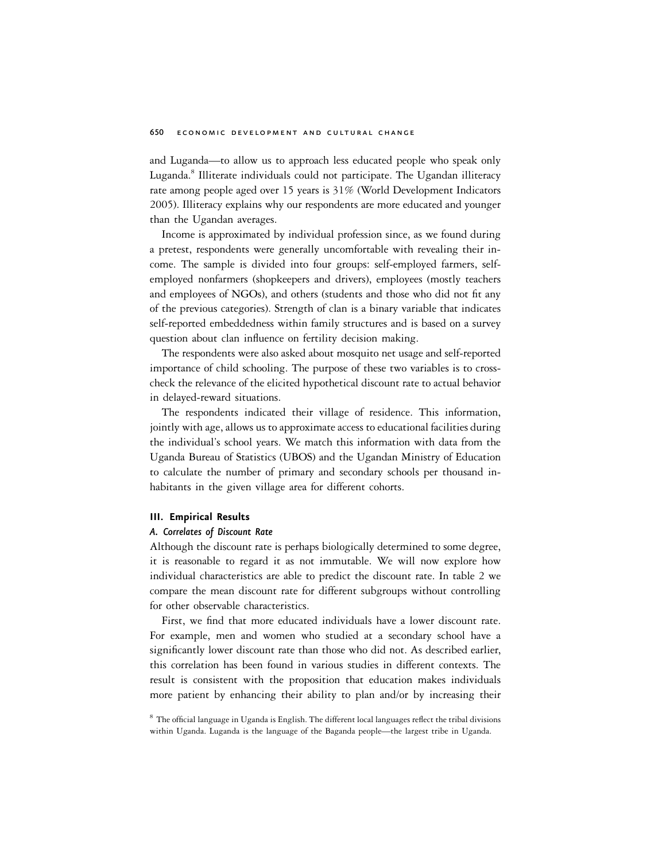and Luganda—to allow us to approach less educated people who speak only Luganda.<sup>8</sup> Illiterate individuals could not participate. The Ugandan illiteracy rate among people aged over 15 years is 31% (World Development Indicators 2005). Illiteracy explains why our respondents are more educated and younger than the Ugandan averages.

Income is approximated by individual profession since, as we found during a pretest, respondents were generally uncomfortable with revealing their income. The sample is divided into four groups: self-employed farmers, selfemployed nonfarmers (shopkeepers and drivers), employees (mostly teachers and employees of NGOs), and others (students and those who did not fit any of the previous categories). Strength of clan is a binary variable that indicates self-reported embeddedness within family structures and is based on a survey question about clan influence on fertility decision making.

The respondents were also asked about mosquito net usage and self-reported importance of child schooling. The purpose of these two variables is to crosscheck the relevance of the elicited hypothetical discount rate to actual behavior in delayed-reward situations.

The respondents indicated their village of residence. This information, jointly with age, allows us to approximate access to educational facilities during the individual's school years. We match this information with data from the Uganda Bureau of Statistics (UBOS) and the Ugandan Ministry of Education to calculate the number of primary and secondary schools per thousand inhabitants in the given village area for different cohorts.

# **III. Empirical Results**

### *A. Correlates of Discount Rate*

Although the discount rate is perhaps biologically determined to some degree, it is reasonable to regard it as not immutable. We will now explore how individual characteristics are able to predict the discount rate. In table 2 we compare the mean discount rate for different subgroups without controlling for other observable characteristics.

First, we find that more educated individuals have a lower discount rate. For example, men and women who studied at a secondary school have a significantly lower discount rate than those who did not. As described earlier, this correlation has been found in various studies in different contexts. The result is consistent with the proposition that education makes individuals more patient by enhancing their ability to plan and/or by increasing their

<sup>8</sup> The official language in Uganda is English. The different local languages reflect the tribal divisions within Uganda. Luganda is the language of the Baganda people—the largest tribe in Uganda.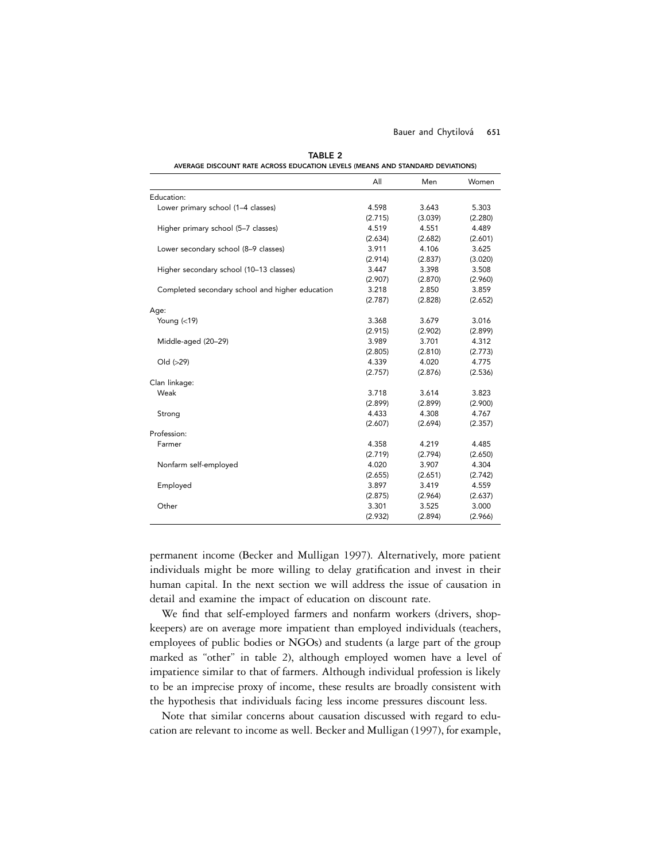| AVERAGE DISCOUNT RATE ACROSS EDUCATION LEVELS (MEANS AND STANDARD DEVIATIONS) |         |         |         |
|-------------------------------------------------------------------------------|---------|---------|---------|
|                                                                               | All     | Men     | Women   |
| Education:                                                                    |         |         |         |
| Lower primary school (1-4 classes)                                            | 4.598   | 3.643   | 5.303   |
|                                                                               | (2.715) | (3.039) | (2.280) |
| Higher primary school (5-7 classes)                                           | 4.519   | 4.551   | 4.489   |
|                                                                               | (2.634) | (2.682) | (2.601) |
| Lower secondary school (8-9 classes)                                          | 3.911   | 4.106   | 3.625   |
|                                                                               | (2.914) | (2.837) | (3.020) |
| Higher secondary school (10-13 classes)                                       | 3.447   | 3.398   | 3.508   |
|                                                                               | (2.907) | (2.870) | (2.960) |
| Completed secondary school and higher education                               | 3.218   | 2.850   | 3.859   |
|                                                                               | (2.787) | (2.828) | (2.652) |
| Age:                                                                          |         |         |         |
| Young $(<19)$                                                                 | 3.368   | 3.679   | 3.016   |
|                                                                               | (2.915) | (2.902) | (2.899) |
| Middle-aged (20-29)                                                           | 3.989   | 3.701   | 4.312   |
|                                                                               | (2.805) | (2.810) | (2.773) |
| Old $(>29)$                                                                   | 4.339   | 4.020   | 4.775   |
|                                                                               | (2.757) | (2.876) | (2.536) |
| Clan linkage:                                                                 |         |         |         |
| Weak                                                                          | 3.718   | 3.614   | 3.823   |
|                                                                               | (2.899) | (2.899) | (2.900) |
| Strong                                                                        | 4.433   | 4.308   | 4.767   |
|                                                                               | (2.607) | (2.694) | (2.357) |
| Profession:                                                                   |         |         |         |
| Farmer                                                                        | 4.358   | 4.219   | 4.485   |
|                                                                               | (2.719) | (2.794) | (2.650) |
| Nonfarm self-employed                                                         | 4.020   | 3.907   | 4.304   |
|                                                                               | (2.655) | (2.651) | (2.742) |
| Employed                                                                      | 3.897   | 3.419   | 4.559   |
|                                                                               | (2.875) | (2.964) | (2.637) |
| Other                                                                         | 3.301   | 3.525   | 3.000   |
|                                                                               | (2.932) | (2.894) | (2.966) |

TABLE 2

permanent income (Becker and Mulligan 1997). Alternatively, more patient individuals might be more willing to delay gratification and invest in their human capital. In the next section we will address the issue of causation in detail and examine the impact of education on discount rate.

We find that self-employed farmers and nonfarm workers (drivers, shopkeepers) are on average more impatient than employed individuals (teachers, employees of public bodies or NGOs) and students (a large part of the group marked as "other" in table 2), although employed women have a level of impatience similar to that of farmers. Although individual profession is likely to be an imprecise proxy of income, these results are broadly consistent with the hypothesis that individuals facing less income pressures discount less.

Note that similar concerns about causation discussed with regard to education are relevant to income as well. Becker and Mulligan (1997), for example,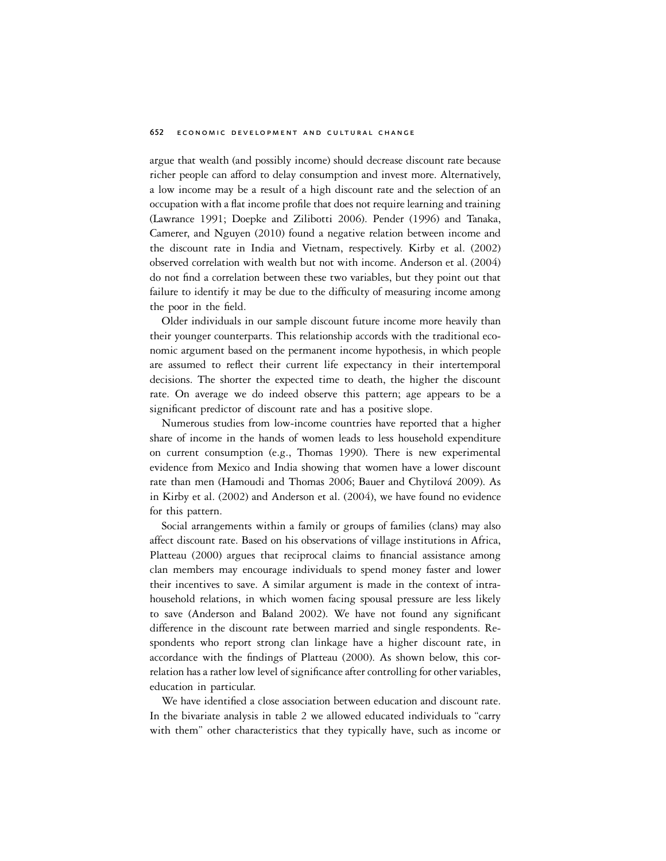argue that wealth (and possibly income) should decrease discount rate because richer people can afford to delay consumption and invest more. Alternatively, a low income may be a result of a high discount rate and the selection of an occupation with a flat income profile that does not require learning and training (Lawrance 1991; Doepke and Zilibotti 2006). Pender (1996) and Tanaka, Camerer, and Nguyen (2010) found a negative relation between income and the discount rate in India and Vietnam, respectively. Kirby et al. (2002) observed correlation with wealth but not with income. Anderson et al. (2004) do not find a correlation between these two variables, but they point out that failure to identify it may be due to the difficulty of measuring income among the poor in the field.

Older individuals in our sample discount future income more heavily than their younger counterparts. This relationship accords with the traditional economic argument based on the permanent income hypothesis, in which people are assumed to reflect their current life expectancy in their intertemporal decisions. The shorter the expected time to death, the higher the discount rate. On average we do indeed observe this pattern; age appears to be a significant predictor of discount rate and has a positive slope.

Numerous studies from low-income countries have reported that a higher share of income in the hands of women leads to less household expenditure on current consumption (e.g., Thomas 1990). There is new experimental evidence from Mexico and India showing that women have a lower discount rate than men (Hamoudi and Thomas 2006; Bauer and Chytilova´ 2009). As in Kirby et al. (2002) and Anderson et al. (2004), we have found no evidence for this pattern.

Social arrangements within a family or groups of families (clans) may also affect discount rate. Based on his observations of village institutions in Africa, Platteau (2000) argues that reciprocal claims to financial assistance among clan members may encourage individuals to spend money faster and lower their incentives to save. A similar argument is made in the context of intrahousehold relations, in which women facing spousal pressure are less likely to save (Anderson and Baland 2002). We have not found any significant difference in the discount rate between married and single respondents. Respondents who report strong clan linkage have a higher discount rate, in accordance with the findings of Platteau (2000). As shown below, this correlation has a rather low level of significance after controlling for other variables, education in particular.

We have identified a close association between education and discount rate. In the bivariate analysis in table 2 we allowed educated individuals to "carry with them" other characteristics that they typically have, such as income or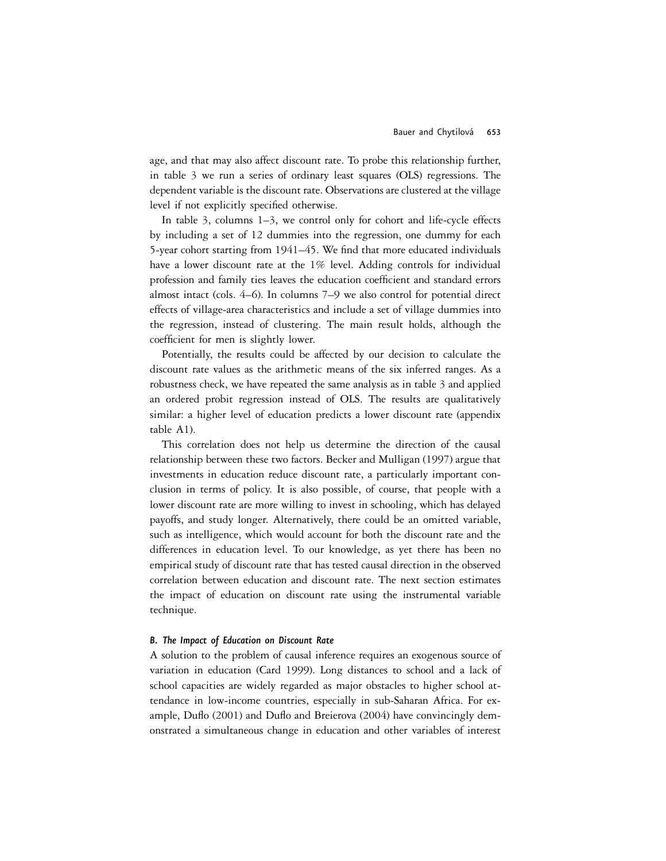age, and that may also affect discount rate. To probe this relationship further, in table 3 we run a series of ordinary least squares (OLS) regressions. The dependent variable is the discount rate. Observations are clustered at the village level if not explicitly specified otherwise.

In table 3, columns 1–3, we control only for cohort and life-cycle effects by including a set of 12 dummies into the regression, one dummy for each 5-year cohort starting from 1941–45. We find that more educated individuals have a lower discount rate at the 1% level. Adding controls for individual profession and family ties leaves the education coefficient and standard errors almost intact (cols. 4–6). In columns 7–9 we also control for potential direct effects of village-area characteristics and include a set of village dummies into the regression, instead of clustering. The main result holds, although the coefficient for men is slightly lower.

Potentially, the results could be affected by our decision to calculate the discount rate values as the arithmetic means of the six inferred ranges. As a robustness check, we have repeated the same analysis as in table 3 and applied an ordered probit regression instead of OLS. The results are qualitatively similar: a higher level of education predicts a lower discount rate (appendix table A1).

This correlation does not help us determine the direction of the causal relationship between these two factors. Becker and Mulligan (1997) argue that investments in education reduce discount rate, a particularly important conclusion in terms of policy. It is also possible, of course, that people with a lower discount rate are more willing to invest in schooling, which has delayed payoffs, and study longer. Alternatively, there could be an omitted variable, such as intelligence, which would account for both the discount rate and the differences in education level. To our knowledge, as yet there has been no empirical study of discount rate that has tested causal direction in the observed correlation between education and discount rate. The next section estimates the impact of education on discount rate using the instrumental variable technique.

# *B. The Impact of Education on Discount Rate*

A solution to the problem of causal inference requires an exogenous source of variation in education (Card 1999). Long distances to school and a lack of school capacities are widely regarded as major obstacles to higher school attendance in low-income countries, especially in sub-Saharan Africa. For example, Duflo (2001) and Duflo and Breierova (2004) have convincingly demonstrated a simultaneous change in education and other variables of interest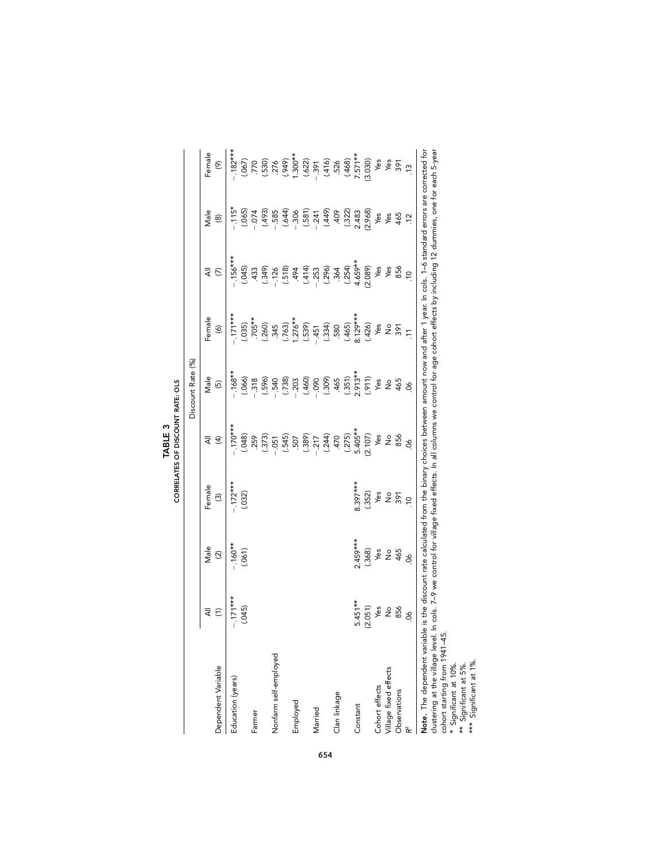|                       |                      |                                 |                                   |                                                                                                                                                                                                                                                                                            | Discount Rate (%)                                                                                                           |                                                                                                                                                                                                              |                                                                                                                                                          |                                                                                                                                                                                                                                                                  |                                                                                                                                                                                                                                           |
|-----------------------|----------------------|---------------------------------|-----------------------------------|--------------------------------------------------------------------------------------------------------------------------------------------------------------------------------------------------------------------------------------------------------------------------------------------|-----------------------------------------------------------------------------------------------------------------------------|--------------------------------------------------------------------------------------------------------------------------------------------------------------------------------------------------------------|----------------------------------------------------------------------------------------------------------------------------------------------------------|------------------------------------------------------------------------------------------------------------------------------------------------------------------------------------------------------------------------------------------------------------------|-------------------------------------------------------------------------------------------------------------------------------------------------------------------------------------------------------------------------------------------|
| Dependent Variable    | ₹<br>$\widehat{c}$   | Male<br>$\widehat{\Omega}$      | Female<br>$\widehat{\mathcal{O}}$ | $\oplus$<br>$\overline{4}$                                                                                                                                                                                                                                                                 | Male<br>$\widehat{5}$                                                                                                       | Female<br>$\odot$                                                                                                                                                                                            | $\equiv$<br>$\mathcal{E}$                                                                                                                                | Male<br>$\circledcirc$                                                                                                                                                                                                                                           | Female<br>$\widehat{\infty}$                                                                                                                                                                                                              |
| Education (years)     | $-.171***$           | $-160**$                        | - 172***<br>(.032)                | $.170***$                                                                                                                                                                                                                                                                                  | $-168**$                                                                                                                    | $-171***$                                                                                                                                                                                                    | $.156***$                                                                                                                                                | $-115*$                                                                                                                                                                                                                                                          |                                                                                                                                                                                                                                           |
| Farmer                | (.045)               | (.061)                          |                                   | (.048)                                                                                                                                                                                                                                                                                     | (.066)                                                                                                                      | $(0.035)$<br>$(0.260)$<br>$(0.260)$<br>$(0.260)$<br>$(0.260)$<br>$(0.260)$<br>$(0.260)$<br>$(0.260)$<br>$(0.260)$<br>$(0.260)$<br>$(0.260)$<br>$(0.260)$<br>$(0.260)$<br>$(0.260)$<br>$(0.260)$<br>$(0.260)$ | 949<br>1930 - 1940 - 1950 - 1950 - 1950<br>1950 - 1950 - 1950 - 1950 - 1950 - 1950 - 1950 - 1950 - 1950 - 1950 - 1950 - 1950 - 1950 - 1950 - 1950 - 1950 | (.065)                                                                                                                                                                                                                                                           | $-182$<br>$-182$<br>$(0.67)$<br>$(0.530)$<br>$(0.30)$<br>$(0.30)$<br>$(0.30)$<br>$(0.30)$<br>$(0.30)$<br>$(0.30)$<br>$(0.30)$<br>$(0.30)$<br>$(0.30)$<br>$(0.30)$<br>$(0.30)$<br>$(0.30)$<br>$(0.30)$<br>$(0.30)$<br>$(0.30)$<br>$(0.30)$ |
|                       |                      |                                 |                                   |                                                                                                                                                                                                                                                                                            | $-318$<br>(.596)<br>-540                                                                                                    |                                                                                                                                                                                                              |                                                                                                                                                          |                                                                                                                                                                                                                                                                  |                                                                                                                                                                                                                                           |
| Nonfarm self-employed |                      |                                 |                                   | $(359 - (-1050 - 1050 - 1050 - 1050 - (-1050 - 1050 - 1050 - (-1050 - 1050 - 1050 - (-1050 - 1050 - 1050 - (-1050 - 1050 - 1050 - (-1050 - 1050 - 1050 - (-1050 - 1050 - 1050 - (-1050 - 1050 - 1050 - (-1050 - 1050 - 1050 - (-1050 - 1050 - 1050 - 1050 - (-1050 - 1050 - 1050 - (-1050$ |                                                                                                                             |                                                                                                                                                                                                              |                                                                                                                                                          | $-074$<br>$-495$<br>$-364$<br>$-366$<br>$-367$<br>$-449$<br>$-496$<br>$-496$<br>$-496$<br>$-496$<br>$-496$<br>$-496$<br>$-496$<br>$-496$<br>$-496$<br>$-496$<br>$-496$<br>$-496$<br>$-496$<br>$-496$<br>$-496$<br>$-496$<br>$-496$<br>$-496$<br>$-496$<br>$-496$ |                                                                                                                                                                                                                                           |
| Employed              |                      |                                 |                                   |                                                                                                                                                                                                                                                                                            | $(738)$<br>$-203$<br>$-460$<br>$-090$<br>$(309)$<br>$(351)$<br>$(511)$<br>$2913$<br>$(511)$<br>$2913$<br>$(511)$<br>$(511)$ |                                                                                                                                                                                                              |                                                                                                                                                          |                                                                                                                                                                                                                                                                  |                                                                                                                                                                                                                                           |
|                       |                      |                                 |                                   |                                                                                                                                                                                                                                                                                            |                                                                                                                             |                                                                                                                                                                                                              |                                                                                                                                                          |                                                                                                                                                                                                                                                                  |                                                                                                                                                                                                                                           |
| Married               |                      |                                 |                                   |                                                                                                                                                                                                                                                                                            |                                                                                                                             |                                                                                                                                                                                                              |                                                                                                                                                          |                                                                                                                                                                                                                                                                  |                                                                                                                                                                                                                                           |
|                       |                      |                                 |                                   |                                                                                                                                                                                                                                                                                            |                                                                                                                             |                                                                                                                                                                                                              |                                                                                                                                                          |                                                                                                                                                                                                                                                                  |                                                                                                                                                                                                                                           |
| Clan linkage          |                      |                                 |                                   |                                                                                                                                                                                                                                                                                            |                                                                                                                             |                                                                                                                                                                                                              |                                                                                                                                                          |                                                                                                                                                                                                                                                                  |                                                                                                                                                                                                                                           |
|                       |                      |                                 |                                   |                                                                                                                                                                                                                                                                                            |                                                                                                                             |                                                                                                                                                                                                              |                                                                                                                                                          |                                                                                                                                                                                                                                                                  |                                                                                                                                                                                                                                           |
| Constant              | $5.451***$           | $2.459***$                      | $8.397***$                        |                                                                                                                                                                                                                                                                                            |                                                                                                                             |                                                                                                                                                                                                              |                                                                                                                                                          |                                                                                                                                                                                                                                                                  |                                                                                                                                                                                                                                           |
|                       | $(2.051)$<br>Yes     | $(.368)$<br>Yes<br>Yes<br>$+45$ | $(352)$<br>Yes<br>No $591$        |                                                                                                                                                                                                                                                                                            |                                                                                                                             |                                                                                                                                                                                                              | 2.089)                                                                                                                                                   |                                                                                                                                                                                                                                                                  |                                                                                                                                                                                                                                           |
| Cohort effects        |                      |                                 |                                   |                                                                                                                                                                                                                                                                                            |                                                                                                                             |                                                                                                                                                                                                              | Yes                                                                                                                                                      |                                                                                                                                                                                                                                                                  |                                                                                                                                                                                                                                           |
| Village fixed effects | 288                  |                                 |                                   | 288                                                                                                                                                                                                                                                                                        |                                                                                                                             | $2\frac{6}{3}$                                                                                                                                                                                               | Yes<br>856                                                                                                                                               | Yes                                                                                                                                                                                                                                                              |                                                                                                                                                                                                                                           |
| Observations          |                      |                                 |                                   |                                                                                                                                                                                                                                                                                            | 2465                                                                                                                        |                                                                                                                                                                                                              |                                                                                                                                                          | 465                                                                                                                                                                                                                                                              |                                                                                                                                                                                                                                           |
| Ř <sup>2</sup>        | 80                   | $\delta$                        | $\frac{1}{2}$                     | $\infty$                                                                                                                                                                                                                                                                                   | 06                                                                                                                          | $\ddot{=}$                                                                                                                                                                                                   | $\frac{1}{2}$                                                                                                                                            | $\ddot{5}$                                                                                                                                                                                                                                                       | $\ddot{5}$                                                                                                                                                                                                                                |
| $\ddot{\cdot}$        | $\ddot{\phantom{0}}$ | $\ddot{ }$                      | Ī                                 |                                                                                                                                                                                                                                                                                            |                                                                                                                             |                                                                                                                                                                                                              |                                                                                                                                                          |                                                                                                                                                                                                                                                                  | $\frac{1}{2}$                                                                                                                                                                                                                             |

CORRELATES OF DISCOUNT RATE: OLS CORRELATES OF DISCOUNT RATE: OLS TABLE 3

Note. The dependent variable is the discount rate calculated from the binary choices between amount now and after 1 year. In cols. 1–6 standard errors are corrected for clustering at the village level. In cols. 7–9 we control for village fixed effects. In all columns we control for age cohort effects by including 12 dummies, one for each 5-year cohort starting from 1941–45. Note. The dependent variable is the discount rate calculated from the binary choices between amount now and after 1 year. In cols. 1–6 standard errors are corrected for<br>clustering at the village level. In cols. 7–9 we cont

Significant at 10%.

\*\* Significant at 5%.

\*\*\* Significant at 1%.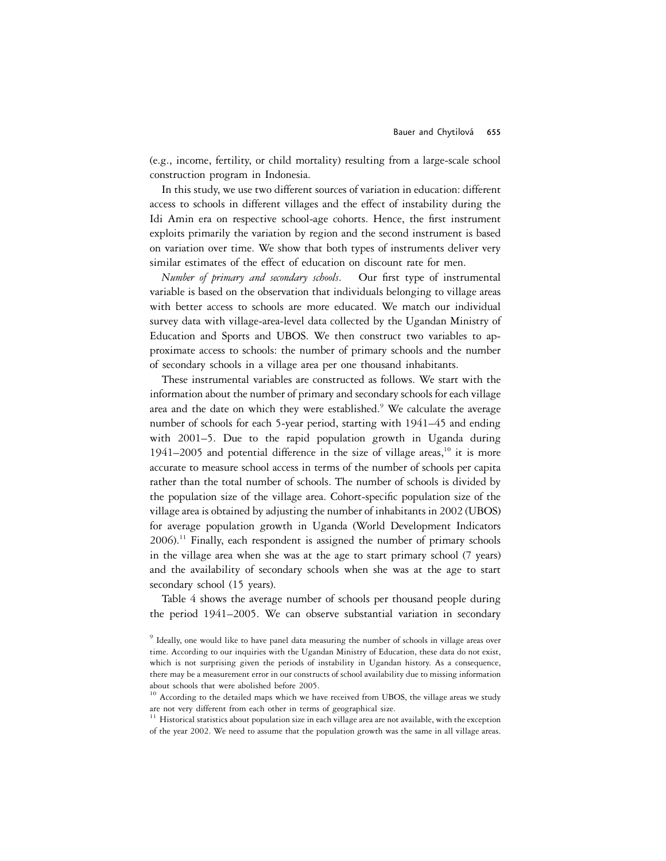(e.g., income, fertility, or child mortality) resulting from a large-scale school construction program in Indonesia.

In this study, we use two different sources of variation in education: different access to schools in different villages and the effect of instability during the Idi Amin era on respective school-age cohorts. Hence, the first instrument exploits primarily the variation by region and the second instrument is based on variation over time. We show that both types of instruments deliver very similar estimates of the effect of education on discount rate for men.

*Number of primary and secondary schools*. Our first type of instrumental variable is based on the observation that individuals belonging to village areas with better access to schools are more educated. We match our individual survey data with village-area-level data collected by the Ugandan Ministry of Education and Sports and UBOS. We then construct two variables to approximate access to schools: the number of primary schools and the number of secondary schools in a village area per one thousand inhabitants.

These instrumental variables are constructed as follows. We start with the information about the number of primary and secondary schools for each village area and the date on which they were established.<sup>9</sup> We calculate the average number of schools for each 5-year period, starting with 1941–45 and ending with 2001–5. Due to the rapid population growth in Uganda during  $1941-2005$  and potential difference in the size of village areas,<sup>10</sup> it is more accurate to measure school access in terms of the number of schools per capita rather than the total number of schools. The number of schools is divided by the population size of the village area. Cohort-specific population size of the village area is obtained by adjusting the number of inhabitants in 2002 (UBOS) for average population growth in Uganda (World Development Indicators  $2006$ <sup>11</sup>. Finally, each respondent is assigned the number of primary schools in the village area when she was at the age to start primary school (7 years) and the availability of secondary schools when she was at the age to start secondary school (15 years).

Table 4 shows the average number of schools per thousand people during the period 1941–2005. We can observe substantial variation in secondary

<sup>&</sup>lt;sup>9</sup> Ideally, one would like to have panel data measuring the number of schools in village areas over time. According to our inquiries with the Ugandan Ministry of Education, these data do not exist, which is not surprising given the periods of instability in Ugandan history. As a consequence, there may be a measurement error in our constructs of school availability due to missing information about schools that were abolished before 2005.

<sup>&</sup>lt;sup>10</sup> According to the detailed maps which we have received from UBOS, the village areas we study are not very different from each other in terms of geographical size.

 $11$  Historical statistics about population size in each village area are not available, with the exception of the year 2002. We need to assume that the population growth was the same in all village areas.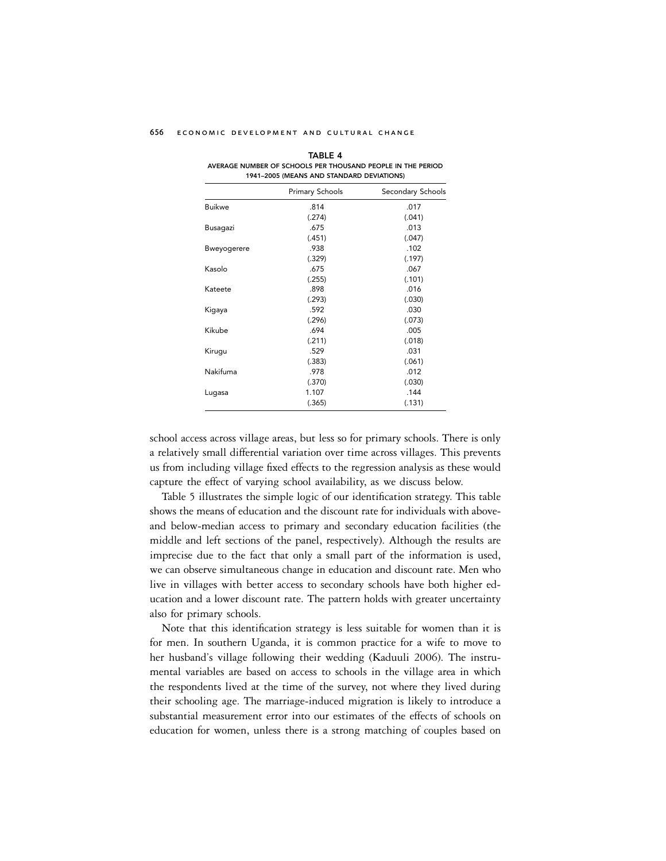| TABLE 4                                                     |
|-------------------------------------------------------------|
| AVERAGE NUMBER OF SCHOOLS PER THOUSAND PEOPLE IN THE PERIOD |
| 1941–2005 (MEANS AND STANDARD DEVIATIONS)                   |

|               | Primary Schools | Secondary Schools |
|---------------|-----------------|-------------------|
| <b>Buikwe</b> | .814            | .017              |
|               | (.274)          | (.041)            |
| Busagazi      | .675            | .013              |
|               | (.451)          | (.047)            |
| Bweyogerere   | .938            | .102              |
|               | (.329)          | (.197)            |
| Kasolo        | .675            | .067              |
|               | (.255)          | (.101)            |
| Kateete       | .898            | .016              |
|               | (.293)          | (.030)            |
| Kigaya        | .592            | .030              |
|               | (.296)          | (.073)            |
| Kikube        | .694            | .005              |
|               | (.211)          | (.018)            |
| Kirugu        | .529            | .031              |
|               | (.383)          | (.061)            |
| Nakifuma      | .978            | .012              |
|               | (.370)          | (.030)            |
| Lugasa        | 1.107           | .144              |
|               | (.365)          | (.131)            |

school access across village areas, but less so for primary schools. There is only a relatively small differential variation over time across villages. This prevents us from including village fixed effects to the regression analysis as these would capture the effect of varying school availability, as we discuss below.

Table 5 illustrates the simple logic of our identification strategy. This table shows the means of education and the discount rate for individuals with aboveand below-median access to primary and secondary education facilities (the middle and left sections of the panel, respectively). Although the results are imprecise due to the fact that only a small part of the information is used, we can observe simultaneous change in education and discount rate. Men who live in villages with better access to secondary schools have both higher education and a lower discount rate. The pattern holds with greater uncertainty also for primary schools.

Note that this identification strategy is less suitable for women than it is for men. In southern Uganda, it is common practice for a wife to move to her husband's village following their wedding (Kaduuli 2006). The instrumental variables are based on access to schools in the village area in which the respondents lived at the time of the survey, not where they lived during their schooling age. The marriage-induced migration is likely to introduce a substantial measurement error into our estimates of the effects of schools on education for women, unless there is a strong matching of couples based on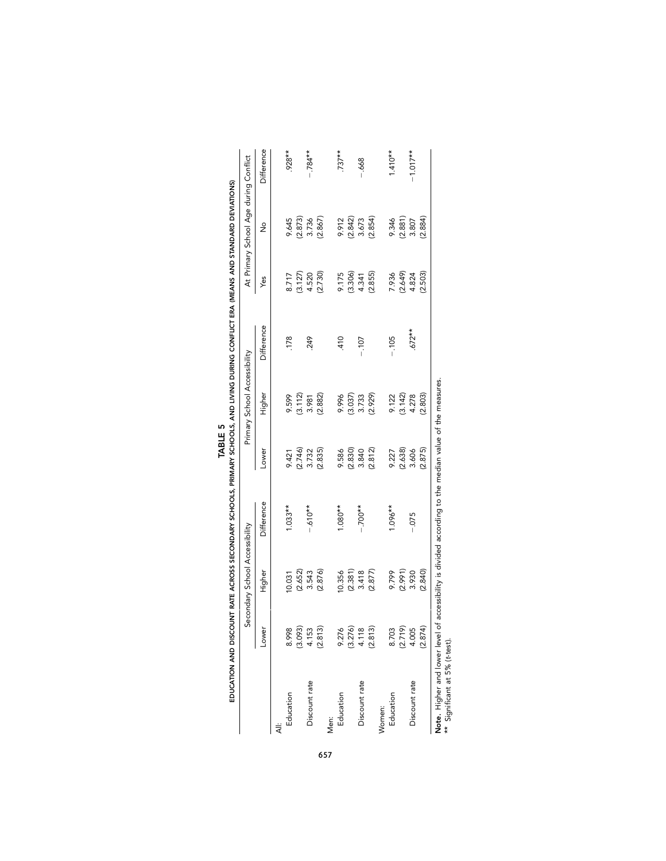|                                                                                                         |         |                                |            |         |                              | EDUCATION AND DISCOUNT RATE ACROSS SECONDARY SCHOOLS, PRIMARY SCHOOLS, AND LIVING DURING CONFLICT ERA MAS AND STANDARD DEVIATIONS) |         |                                       |            |
|---------------------------------------------------------------------------------------------------------|---------|--------------------------------|------------|---------|------------------------------|------------------------------------------------------------------------------------------------------------------------------------|---------|---------------------------------------|------------|
|                                                                                                         |         | Secondary School Accessibility |            |         | Primary School Accessibility |                                                                                                                                    |         | At Primary School Age during Conflict |            |
|                                                                                                         | Lower   | Higher                         | Difference | Lower   | Higher                       | Difference                                                                                                                         | Yes     | $\frac{1}{2}$                         | Difference |
|                                                                                                         |         |                                |            |         |                              |                                                                                                                                    |         |                                       |            |
| Education                                                                                               | 8.998   | 10.031                         | $1.033**$  | 9.421   | 9.599                        | .178                                                                                                                               | 8.717   | 9.645                                 | .928**     |
|                                                                                                         | (3.093) | (2.652)                        |            | (2.746) | (3.112)                      |                                                                                                                                    | (3.127) | (2.873)                               |            |
| Discount rate                                                                                           | 4.153   | 3.543                          | $-610**$   | 3.732   | 3.981                        | 249                                                                                                                                | 4.520   | 3.736                                 | $-.784***$ |
|                                                                                                         | (2.813) | (2.876)                        |            | (2.835) | (2.882)                      |                                                                                                                                    | (2.730) | (2.867)                               |            |
| Men:                                                                                                    |         |                                |            |         |                              |                                                                                                                                    |         |                                       |            |
| Education                                                                                               | 9.276   | 10.356                         | 1.080**    | 9.586   | 9.996                        | .410                                                                                                                               | 9.175   | 9.912                                 | $.737**$   |
|                                                                                                         | (3.276) | (2.381)                        |            | (2.830) | (3.037)                      |                                                                                                                                    | (3.306) | (2.842)                               |            |
| Discount rate                                                                                           | 4.118   | 3.418                          | $-.700**$  | 3.840   | 3.733                        | $-107$                                                                                                                             | 4.341   | 3.673                                 | $-668$     |
|                                                                                                         | (2.813) | (2.877)                        |            | (2.812) | (2.929)                      |                                                                                                                                    | (2.855) | (2.854)                               |            |
| Women:                                                                                                  |         |                                |            |         |                              |                                                                                                                                    |         |                                       |            |
| Education                                                                                               | 8.703   | 9.799                          | 1.096**    | 9.227   | 9.122                        | $-105$                                                                                                                             | 7.936   | 9.346                                 | $-410**$   |
|                                                                                                         | (2.719) | (2.991)                        |            | (2.638) | (3.142)                      |                                                                                                                                    | (2.649) | (2.881)                               |            |
| Discount rate                                                                                           | 4.005   | 3.930                          | $-.075$    | 3.606   | 4.278                        | $.672**$                                                                                                                           | 4.824   | 3.807                                 | $-1.017**$ |
|                                                                                                         | (2.874) | (2.840)                        |            | (2.875) | (2.803)                      |                                                                                                                                    | (2.503) | (2.884)                               |            |
| Note. Higher and lower level of accessibility is divided according to the median value of the measures. |         |                                |            |         |                              |                                                                                                                                    |         |                                       |            |

| İ<br>i<br>:                     |
|---------------------------------|
| ;<br>;<br>;<br>;<br>;<br>;<br>; |

\*\* Significant at 5% (t-test). \*\* Significant at 5% (*t*-test).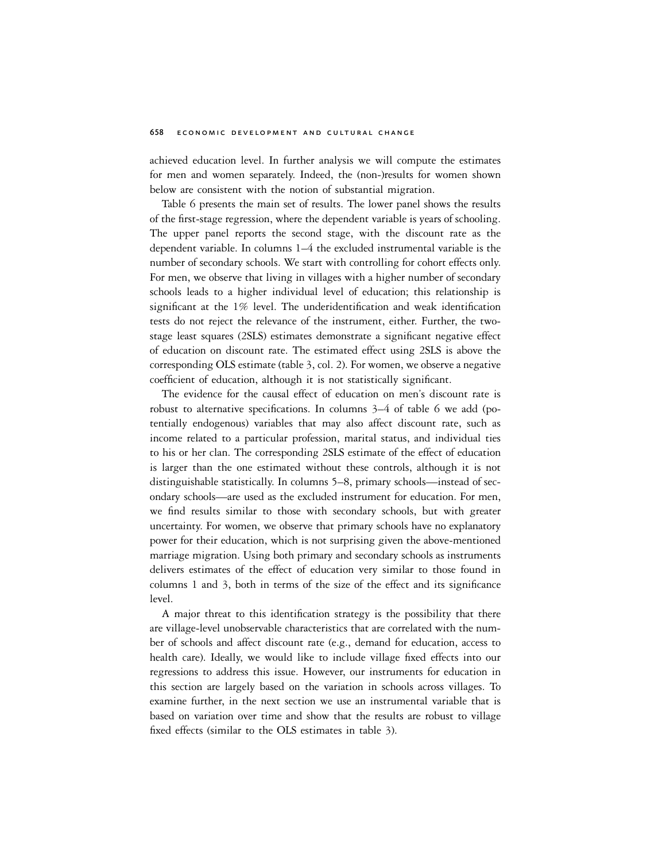achieved education level. In further analysis we will compute the estimates for men and women separately. Indeed, the (non-)results for women shown below are consistent with the notion of substantial migration.

Table 6 presents the main set of results. The lower panel shows the results of the first-stage regression, where the dependent variable is years of schooling. The upper panel reports the second stage, with the discount rate as the dependent variable. In columns 1–4 the excluded instrumental variable is the number of secondary schools. We start with controlling for cohort effects only. For men, we observe that living in villages with a higher number of secondary schools leads to a higher individual level of education; this relationship is significant at the 1% level. The underidentification and weak identification tests do not reject the relevance of the instrument, either. Further, the twostage least squares (2SLS) estimates demonstrate a significant negative effect of education on discount rate. The estimated effect using 2SLS is above the corresponding OLS estimate (table 3, col. 2). For women, we observe a negative coefficient of education, although it is not statistically significant.

The evidence for the causal effect of education on men's discount rate is robust to alternative specifications. In columns 3–4 of table 6 we add (potentially endogenous) variables that may also affect discount rate, such as income related to a particular profession, marital status, and individual ties to his or her clan. The corresponding 2SLS estimate of the effect of education is larger than the one estimated without these controls, although it is not distinguishable statistically. In columns 5–8, primary schools—instead of secondary schools—are used as the excluded instrument for education. For men, we find results similar to those with secondary schools, but with greater uncertainty. For women, we observe that primary schools have no explanatory power for their education, which is not surprising given the above-mentioned marriage migration. Using both primary and secondary schools as instruments delivers estimates of the effect of education very similar to those found in columns 1 and 3, both in terms of the size of the effect and its significance level.

A major threat to this identification strategy is the possibility that there are village-level unobservable characteristics that are correlated with the number of schools and affect discount rate (e.g., demand for education, access to health care). Ideally, we would like to include village fixed effects into our regressions to address this issue. However, our instruments for education in this section are largely based on the variation in schools across villages. To examine further, in the next section we use an instrumental variable that is based on variation over time and show that the results are robust to village fixed effects (similar to the OLS estimates in table 3).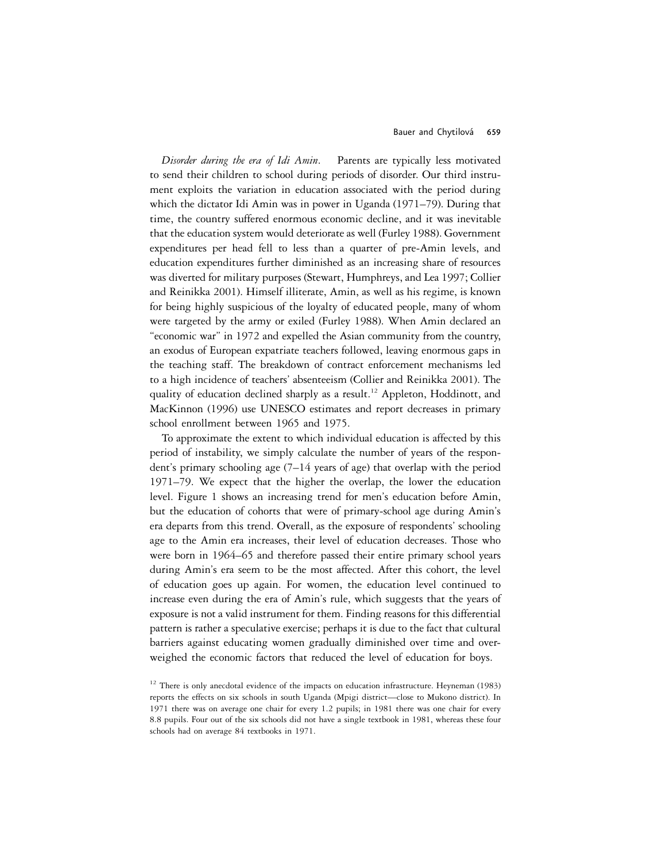*Disorder during the era of Idi Amin*. Parents are typically less motivated to send their children to school during periods of disorder. Our third instrument exploits the variation in education associated with the period during which the dictator Idi Amin was in power in Uganda (1971–79). During that time, the country suffered enormous economic decline, and it was inevitable that the education system would deteriorate as well (Furley 1988). Government expenditures per head fell to less than a quarter of pre-Amin levels, and education expenditures further diminished as an increasing share of resources was diverted for military purposes (Stewart, Humphreys, and Lea 1997; Collier and Reinikka 2001). Himself illiterate, Amin, as well as his regime, is known for being highly suspicious of the loyalty of educated people, many of whom were targeted by the army or exiled (Furley 1988). When Amin declared an "economic war" in 1972 and expelled the Asian community from the country, an exodus of European expatriate teachers followed, leaving enormous gaps in the teaching staff. The breakdown of contract enforcement mechanisms led to a high incidence of teachers' absenteeism (Collier and Reinikka 2001). The quality of education declined sharply as a result.<sup>12</sup> Appleton, Hoddinott, and MacKinnon (1996) use UNESCO estimates and report decreases in primary school enrollment between 1965 and 1975.

To approximate the extent to which individual education is affected by this period of instability, we simply calculate the number of years of the respondent's primary schooling age (7–14 years of age) that overlap with the period 1971–79. We expect that the higher the overlap, the lower the education level. Figure 1 shows an increasing trend for men's education before Amin, but the education of cohorts that were of primary-school age during Amin's era departs from this trend. Overall, as the exposure of respondents' schooling age to the Amin era increases, their level of education decreases. Those who were born in 1964–65 and therefore passed their entire primary school years during Amin's era seem to be the most affected. After this cohort, the level of education goes up again. For women, the education level continued to increase even during the era of Amin's rule, which suggests that the years of exposure is not a valid instrument for them. Finding reasons for this differential pattern is rather a speculative exercise; perhaps it is due to the fact that cultural barriers against educating women gradually diminished over time and overweighed the economic factors that reduced the level of education for boys.

 $12$  There is only anecdotal evidence of the impacts on education infrastructure. Heyneman (1983) reports the effects on six schools in south Uganda (Mpigi district—close to Mukono district). In 1971 there was on average one chair for every 1.2 pupils; in 1981 there was one chair for every 8.8 pupils. Four out of the six schools did not have a single textbook in 1981, whereas these four schools had on average 84 textbooks in 1971.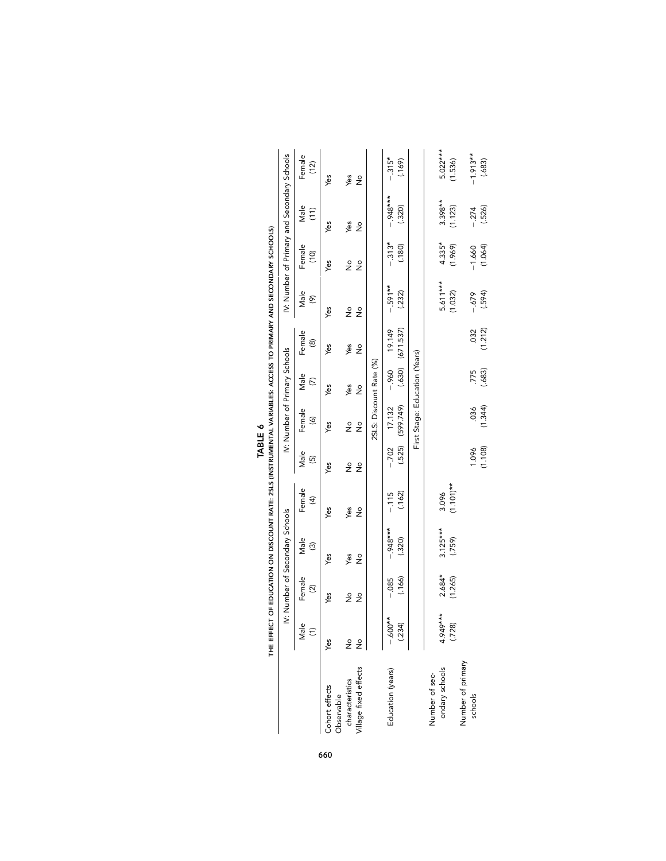|                                          | -<br>보                       |                              | EFFECT OF EDUCATION ON DISCOUNT RATE: 2SLS (INSTRUMENTAL VARIABLES: ACCESS TO PRIMARY AND SECONDARY SCHOOLS) |                         |                   | i<br>Port                      |                   |                       |                        |                     |                                             |                       |
|------------------------------------------|------------------------------|------------------------------|--------------------------------------------------------------------------------------------------------------|-------------------------|-------------------|--------------------------------|-------------------|-----------------------|------------------------|---------------------|---------------------------------------------|-----------------------|
|                                          |                              |                              | IV: Number of Secondary Schools                                                                              |                         |                   | IV: Number of Primary Schools  |                   |                       |                        |                     | IV: Number of Primary and Secondary Schools |                       |
|                                          | Male<br>$\widehat{c}$        | Female<br>$\widehat{\infty}$ | Male<br>$\widehat{\mathcal{C}}$                                                                              | Female<br>$\widehat{A}$ | Male<br>0         | Female<br>$\widehat{\circ}$    | Male<br>E         | Female<br>$\circledR$ | Male<br>$\circledcirc$ | Female<br>(10)      | Male<br>$\left(11\right)$                   | Female<br>(12)        |
| Cohort effects<br>Observable             | Yes                          | Yes                          | Yes                                                                                                          | Yes                     | Yes               | Yes                            | Yes               | Yes                   | Yes                    | Yes                 | Yes                                         | Yes                   |
| Village fixed effects<br>characteristics | $\frac{1}{2}$<br>$rac{1}{2}$ | ş<br>ş                       | Yes<br>ş                                                                                                     | Yes<br>9<br>S           | ş<br>ş            | ş<br>ş                         | Yes<br>Ş          | Yes<br>9<br>S         | ş<br>9<br>S            | ş<br>$\frac{1}{2}$  | Yes<br>ş                                    | Yes<br>ş              |
|                                          |                              |                              |                                                                                                              |                         |                   | 2SLS: Discount Rate (%)        |                   |                       |                        |                     |                                             |                       |
| Education (years)                        | $.600**$<br>.234)            | (166)<br>$-0.085$            | $-948***$<br>(.320)                                                                                          | (.162)<br>$-115$        | (.525)<br>$-.702$ | (599.749)<br>17.132            | (630)<br>$-0.960$ | (671.537)<br>19.149   | $-591**$<br>(.232)     | $-313*$<br>(180)    | $-948***$<br>(.320)                         | $-315*$<br>(169)      |
|                                          |                              |                              |                                                                                                              |                         |                   | First Stage: Education (Years) |                   |                       |                        |                     |                                             |                       |
| ondary schools<br>Number of sec-         | ,949***<br>728)              | $2.684*$<br>(1.265)          | $3.125***$<br>(759)                                                                                          | $(1.101)$ **<br>3.096   |                   |                                |                   |                       | $5.611***$<br>(1.032)  | $4.335*$<br>(1.969) | $3.398**$<br>(1.123)                        | $5.022***$<br>(1.536) |
| Number of primary<br>schools             |                              |                              |                                                                                                              |                         | (1.108)<br>1.096  | (1.344)<br>036                 | (.683)<br>.775    | (1.212)<br>.032       | (.594)<br>$-679$       | (1.064)<br>$-1.660$ | (.526)<br>$-.274$                           | $-1.913**$<br>(.683)  |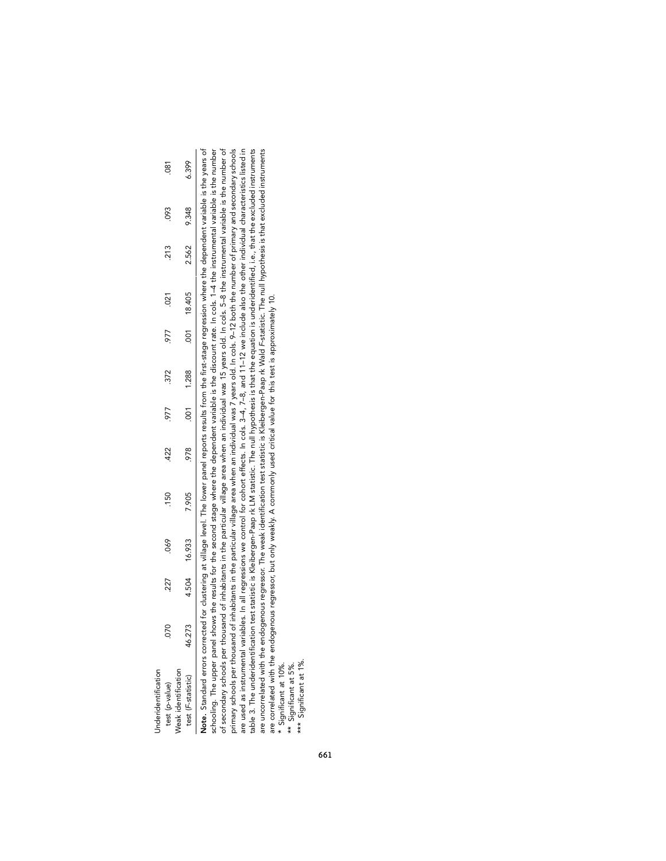| 6.399 |      | 2.562 9.348 | .001 18.405    |      |     | 001 1.288 | .978 | 7.905 | 4.504 16.933 |     | 46.273 | test (F-statistic)                           |
|-------|------|-------------|----------------|------|-----|-----------|------|-------|--------------|-----|--------|----------------------------------------------|
|       |      |             |                |      |     |           |      |       |              |     |        | Veak identification                          |
| 081   | .093 | 213         | $\overline{0}$ | .977 | 372 | .977      | .422 | .150  | 069          | 227 | 20     | <b>Jnderidentification</b><br>test (p-value) |
|       |      |             |                |      |     |           |      |       |              |     |        |                                              |

\* $\overleftarrow{\mathbf{0}}$ schooling. The upper panel shows the results for the second stage where the dependent variable is the discount rate. In cols. 1–4 the instrumental variable is the number of secondary schools per thousand of inhabitants in the particular village area when an individual was 15 years old. In cols. 5–8 the instrumental variable is the number of primary schools per thousand of inhabitants in the particular village area when an individual was 7 years old. In cols. 9–12 both the number of primary and secondary schools are used as instrumental variables. In all regressions we control for cohort effects. In cols. 3–4, 7–8, and 11–12 we include also the other individual characteristics listed in table 3. The underidentification test statistic is Kleibergen-Paap rk LM statistic. The null hypothesis is that the equation is underidentified, i.e., that the excluded instruments are uncorrelated with the endogenous regressor. The weak identification test statistic is Kleibergen-Paap rk Wald *F*-statistic. The null hypothesis is that excluded instruments are correlated with the endogenous regressor, but only weakly. A commonly used critical value for this test is approximately 10.

Significant at 10%.

\*\* Significant at 5%.

\*\*\* Significant at 1%.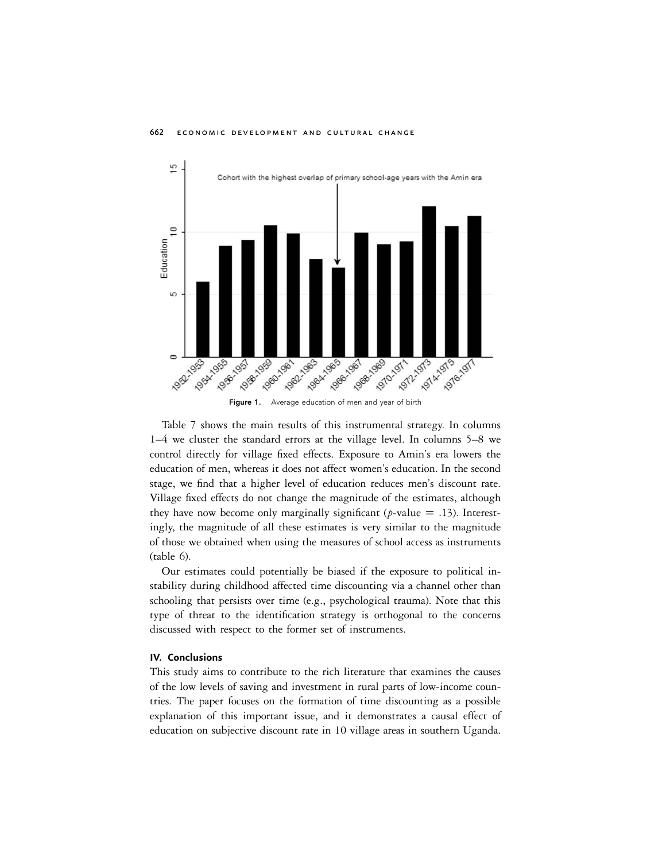

Figure 1. Average education of men and year of birth

Table 7 shows the main results of this instrumental strategy. In columns 1–4 we cluster the standard errors at the village level. In columns 5–8 we control directly for village fixed effects. Exposure to Amin's era lowers the education of men, whereas it does not affect women's education. In the second stage, we find that a higher level of education reduces men's discount rate. Village fixed effects do not change the magnitude of the estimates, although they have now become only marginally significant ( $p$ -value = .13). Interestingly, the magnitude of all these estimates is very similar to the magnitude of those we obtained when using the measures of school access as instruments (table 6).

Our estimates could potentially be biased if the exposure to political instability during childhood affected time discounting via a channel other than schooling that persists over time (e.g., psychological trauma). Note that this type of threat to the identification strategy is orthogonal to the concerns discussed with respect to the former set of instruments.

## **IV. Conclusions**

This study aims to contribute to the rich literature that examines the causes of the low levels of saving and investment in rural parts of low-income countries. The paper focuses on the formation of time discounting as a possible explanation of this important issue, and it demonstrates a causal effect of education on subjective discount rate in 10 village areas in southern Uganda.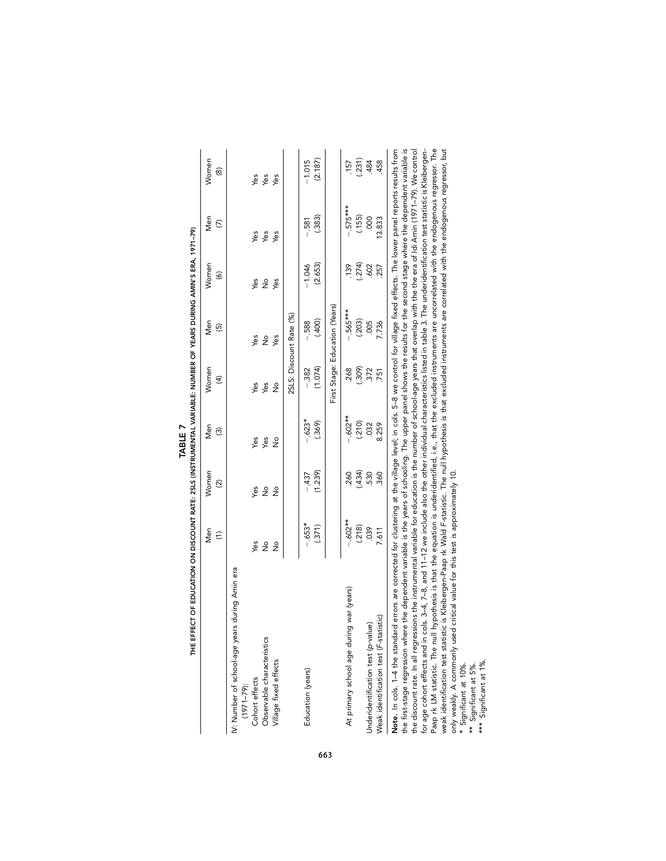| THE EFFECT OF EDUCATION ON DISCOUNT RATE: 2SLS (INSTRUMENTAL VARIABLE: NUMBER OF YEARS DURING AMIN'S ERA, 1971-79)                                                                                                                                                                                                                                             |                        |                                   |               |             |                                |                            |                 |            |
|----------------------------------------------------------------------------------------------------------------------------------------------------------------------------------------------------------------------------------------------------------------------------------------------------------------------------------------------------------------|------------------------|-----------------------------------|---------------|-------------|--------------------------------|----------------------------|-----------------|------------|
|                                                                                                                                                                                                                                                                                                                                                                | Men<br>$\widehat{\Xi}$ | Women<br>$\widehat{\mathfrak{O}}$ | Men<br>ල      | Women<br>E) | Men<br>ල                       | Women<br>$\widehat{\circ}$ | Men<br>$\infty$ | Women<br>@ |
| IV: Number of school-age years during Amin era<br>$(1971 - 79)$ :                                                                                                                                                                                                                                                                                              |                        |                                   |               |             |                                |                            |                 |            |
| Cohort effects                                                                                                                                                                                                                                                                                                                                                 | Yes                    | Yes                               | Yes           | Yes         | Yes                            | Yes                        | Yes             | Yes        |
| Observable characteristics                                                                                                                                                                                                                                                                                                                                     | $\frac{1}{2}$          | ş                                 | Yes           | Yes         | ş                              | ş                          | Yes             | Yes        |
| Village fixed effects                                                                                                                                                                                                                                                                                                                                          | 9<br>No                | Ş                                 | $\frac{1}{2}$ | ş           | Yes                            | Yes                        | Yes             | Yes        |
|                                                                                                                                                                                                                                                                                                                                                                |                        |                                   |               |             | 2SLS: Discount Rate (%)        |                            |                 |            |
| Education (years)                                                                                                                                                                                                                                                                                                                                              | $-653*$                | $-437$                            | $-623*$       | $-382$      | $-588$                         | $-1.046$                   | $-581$          | $-1.015$   |
|                                                                                                                                                                                                                                                                                                                                                                | (.371)                 | (1.239)                           | (.369)        | (1.074)     | (000)                          | (2.653)                    | (.383)          | (2.187)    |
|                                                                                                                                                                                                                                                                                                                                                                |                        |                                   |               |             | First Stage: Education (Years) |                            |                 |            |
| At primary school age during war (years)                                                                                                                                                                                                                                                                                                                       | $-.602**$              | 260                               | $-.602**$     | 268         | $-.565***$                     | .139                       | $-.575***$      | .157       |
|                                                                                                                                                                                                                                                                                                                                                                | (.218)                 | (.434)                            | (.210)        | (.309)      | (.203)                         | (.274)                     | (155)           | (.231)     |
| Underidentification test (p-value)                                                                                                                                                                                                                                                                                                                             | 039                    | 530                               | .032          | 372         | .005                           | .602                       | 000             | .484       |
| tatistic)<br>Weak identification test (F-st                                                                                                                                                                                                                                                                                                                    | 7.611                  | 360                               | 8.259         | 751         | 7.736                          | 257                        | 13.833          | 458        |
| Note. In cols. 1–4 the standard errors are corrected for clustering at the village level; in cols. 5–8 we control for village fixed effects. The lower panel reports results from<br>the first-stage regression where the dependent variable is the years of schooling. The upper panel shows the results for the second stage where the dependent variable is |                        |                                   |               |             |                                |                            |                 |            |

TABLE 7

the discount rate. In all regressions the instrumental variable for education is the number of school-age years that overlap with the the era of (di Amin (1971–79). We control<br>for age cohort effects and in cols. 3-4, 7-8, the discount rate. In all regressions the instrumental variable for education is the number of school-age years that overlap with the the era of Idi Amin (1971–79). We control for age cohort effects and in cols. 3–4, 7–8, and 11–12 we include also the other individual characteristics listed in table 3. The underidentification test statistic is Kleibergen-Paap rk LM statistic. The null hypothesis is that the equation is underidentified, i.e., that the excluded instruments are uncorrelated with the endogenous regressor. The weak identification test statistic is Kleibergen-Paap rk Wald *F*-statistic. The null hypothesis is that excluded instruments are correlated with the endogenous regressor, but only weakly. A commonly used critical value for this test is approximately 10.

Significant at 10%.

\* Significant at 10%.<br>\*\* Significant at 5%.<br>\*\*\* Significant at 1%. \*\* Significant at 5%.

\*\*\* Significant at 1%.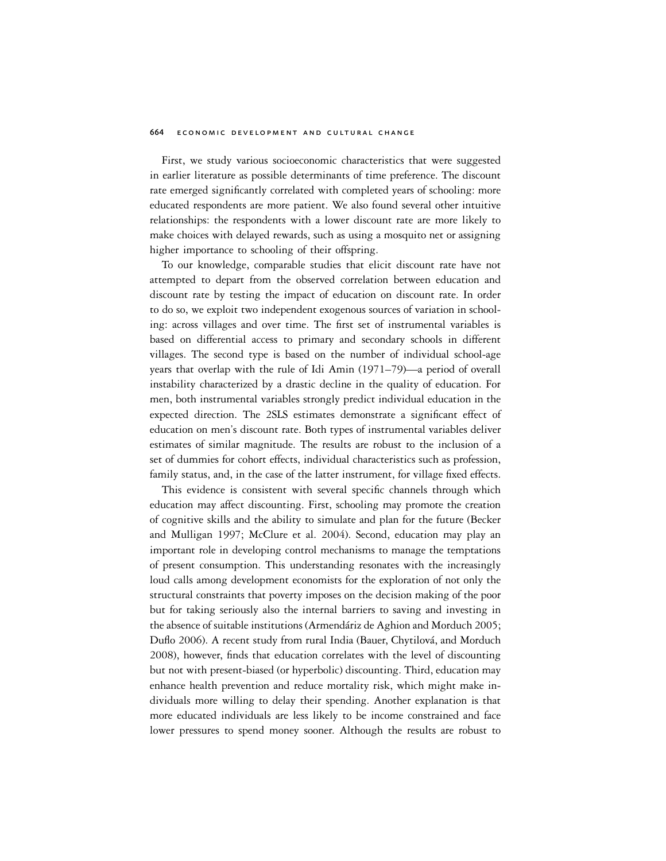First, we study various socioeconomic characteristics that were suggested in earlier literature as possible determinants of time preference. The discount rate emerged significantly correlated with completed years of schooling: more educated respondents are more patient. We also found several other intuitive relationships: the respondents with a lower discount rate are more likely to make choices with delayed rewards, such as using a mosquito net or assigning higher importance to schooling of their offspring.

To our knowledge, comparable studies that elicit discount rate have not attempted to depart from the observed correlation between education and discount rate by testing the impact of education on discount rate. In order to do so, we exploit two independent exogenous sources of variation in schooling: across villages and over time. The first set of instrumental variables is based on differential access to primary and secondary schools in different villages. The second type is based on the number of individual school-age years that overlap with the rule of Idi Amin (1971–79)—a period of overall instability characterized by a drastic decline in the quality of education. For men, both instrumental variables strongly predict individual education in the expected direction. The 2SLS estimates demonstrate a significant effect of education on men's discount rate. Both types of instrumental variables deliver estimates of similar magnitude. The results are robust to the inclusion of a set of dummies for cohort effects, individual characteristics such as profession, family status, and, in the case of the latter instrument, for village fixed effects.

This evidence is consistent with several specific channels through which education may affect discounting. First, schooling may promote the creation of cognitive skills and the ability to simulate and plan for the future (Becker and Mulligan 1997; McClure et al. 2004). Second, education may play an important role in developing control mechanisms to manage the temptations of present consumption. This understanding resonates with the increasingly loud calls among development economists for the exploration of not only the structural constraints that poverty imposes on the decision making of the poor but for taking seriously also the internal barriers to saving and investing in the absence of suitable institutions (Armendáriz de Aghion and Morduch 2005; Duflo 2006). A recent study from rural India (Bauer, Chytilová, and Morduch 2008), however, finds that education correlates with the level of discounting but not with present-biased (or hyperbolic) discounting. Third, education may enhance health prevention and reduce mortality risk, which might make individuals more willing to delay their spending. Another explanation is that more educated individuals are less likely to be income constrained and face lower pressures to spend money sooner. Although the results are robust to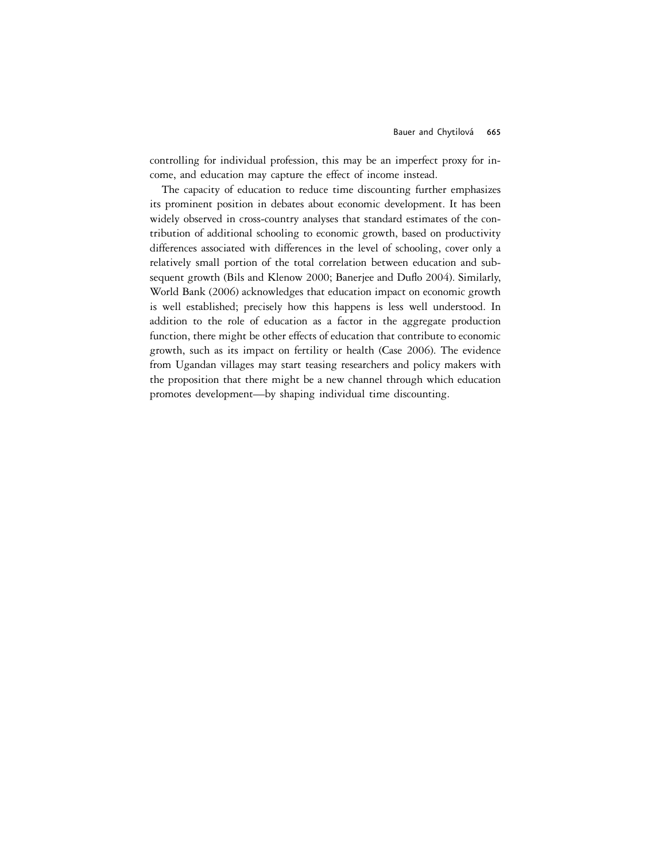controlling for individual profession, this may be an imperfect proxy for income, and education may capture the effect of income instead.

The capacity of education to reduce time discounting further emphasizes its prominent position in debates about economic development. It has been widely observed in cross-country analyses that standard estimates of the contribution of additional schooling to economic growth, based on productivity differences associated with differences in the level of schooling, cover only a relatively small portion of the total correlation between education and subsequent growth (Bils and Klenow 2000; Banerjee and Duflo 2004). Similarly, World Bank (2006) acknowledges that education impact on economic growth is well established; precisely how this happens is less well understood. In addition to the role of education as a factor in the aggregate production function, there might be other effects of education that contribute to economic growth, such as its impact on fertility or health (Case 2006). The evidence from Ugandan villages may start teasing researchers and policy makers with the proposition that there might be a new channel through which education promotes development—by shaping individual time discounting.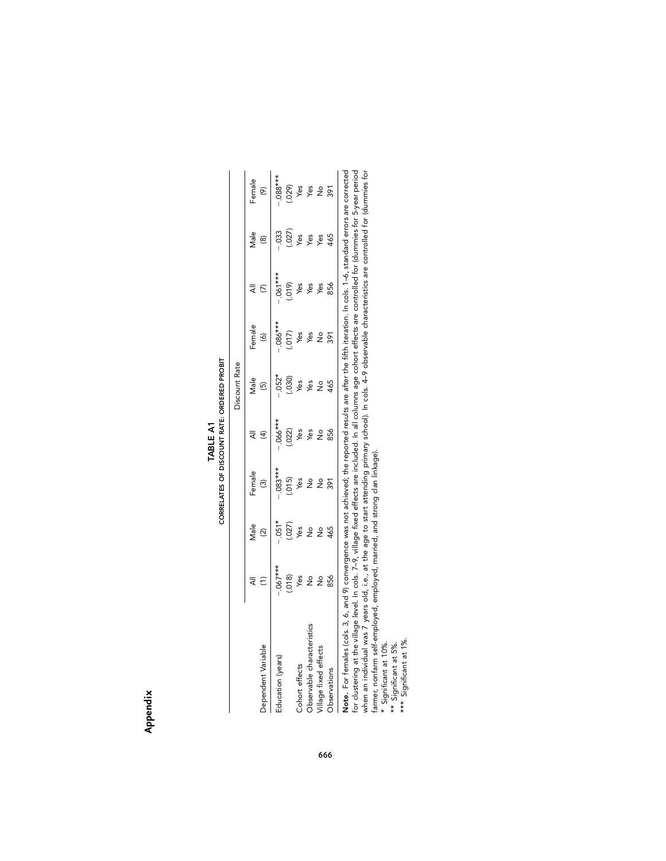|                            |                |               |                         |            | Discount Rate  |               |           |         |                          |
|----------------------------|----------------|---------------|-------------------------|------------|----------------|---------------|-----------|---------|--------------------------|
|                            | ₹              | Male          | Female                  | ₹          | Male           | Female        |           | Male    | Female                   |
| Dependent Variable         |                | $\widehat{a}$ | $\widehat{\mathcal{O}}$ | £          | 0              | $\hat{\circ}$ | Ë         | @       | $\widehat{\mathfrak{G}}$ |
| Education (years)          | $-.067***$     | $-.051*$      | $-.083***$              | $-.066***$ | $-.052*$       | $-.086***$    | $.061***$ | $-0.33$ | $.088***$                |
|                            | $(018)$<br>Yes | (.027)        | (015)                   | (.022)     | $(030)$<br>Yes | $(17)$<br>Yes | (610, 0)  | (.027)  |                          |
| Cohort effects             |                | Yes           | Yes                     | Yes        |                |               | Yes       | Yes     | .029)<br>Yes             |
| Observable characteristics | å              | <sub>2</sub>  | ە<br>2                  | Yes        | Yes            | Yes           | Yes       | Yes     |                          |
| Village fixed effects      | $\frac{1}{2}$  | $\frac{1}{2}$ | $\frac{1}{2}$           | ş          | $\frac{1}{2}$  | $\frac{1}{2}$ | Yes       | Yes     | yes<br>2                 |
| Observations               | 856            | 465           | 391                     | 856        | 465            | 391           | 856       | 465     | 391                      |

TABLE A1 TABLE A1

\* $\sqrt{2}$ when an individual was 7 years old, i.e., at the age to start attending primary school). In cols. 4–9 observable characteristics are controlled for (dummies for for clustering at the village level. In cols. 7–9, village fixed effects are included. In all columns age cohort effects are controlled for (dummies for 5-year period farmer, nonfarm self-employed, employed, married, and strong clan linkage).

Significant at 10%.

666

\*\* Significant at 5%.

\*\*\* Significant at 1%.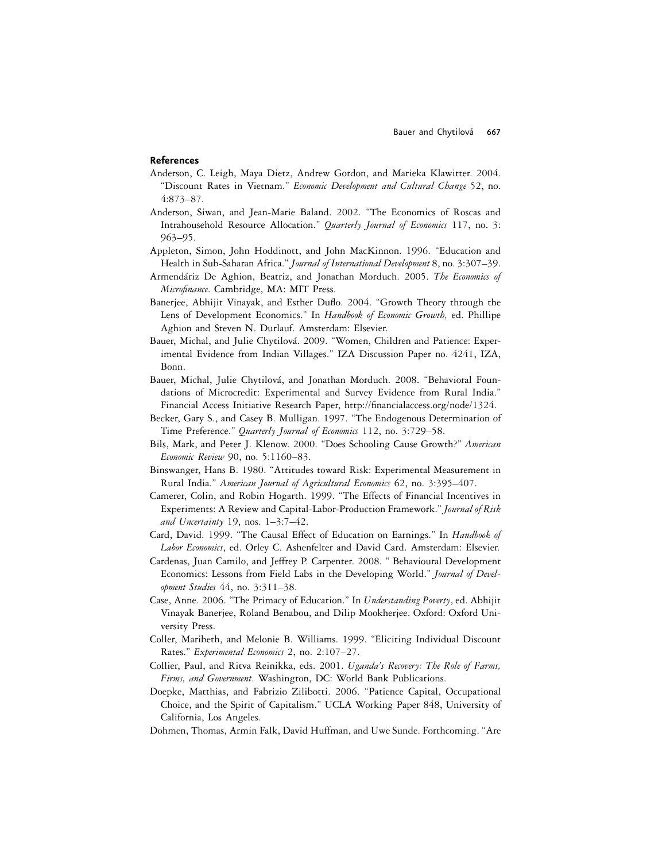### **References**

- Anderson, C. Leigh, Maya Dietz, Andrew Gordon, and Marieka Klawitter. 2004. "Discount Rates in Vietnam." *Economic Development and Cultural Change* 52, no. 4:873–87.
- Anderson, Siwan, and Jean-Marie Baland. 2002. "The Economics of Roscas and Intrahousehold Resource Allocation." *Quarterly Journal of Economics* 117, no. 3: 963–95.
- Appleton, Simon, John Hoddinott, and John MacKinnon. 1996. "Education and Health in Sub-Saharan Africa." *Journal of International Development* 8, no. 3:307–39.
- Armenda´riz De Aghion, Beatriz, and Jonathan Morduch. 2005. *The Economics of Microfinance*. Cambridge, MA: MIT Press.
- Banerjee, Abhijit Vinayak, and Esther Duflo. 2004. "Growth Theory through the Lens of Development Economics." In *Handbook of Economic Growth,* ed. Phillipe Aghion and Steven N. Durlauf. Amsterdam: Elsevier.
- Bauer, Michal, and Julie Chytilová. 2009. "Women, Children and Patience: Experimental Evidence from Indian Villages." IZA Discussion Paper no. 4241, IZA, Bonn.
- Bauer, Michal, Julie Chytilová, and Jonathan Morduch. 2008. "Behavioral Foundations of Microcredit: Experimental and Survey Evidence from Rural India." Financial Access Initiative Research Paper, http://financialaccess.org/node/1324.
- Becker, Gary S., and Casey B. Mulligan. 1997. "The Endogenous Determination of Time Preference." *Quarterly Journal of Economics* 112, no. 3:729–58.
- Bils, Mark, and Peter J. Klenow. 2000. "Does Schooling Cause Growth?" *American Economic Review* 90, no. 5:1160–83.
- Binswanger, Hans B. 1980. "Attitudes toward Risk: Experimental Measurement in Rural India." *American Journal of Agricultural Economics* 62, no. 3:395–407.
- Camerer, Colin, and Robin Hogarth. 1999. "The Effects of Financial Incentives in Experiments: A Review and Capital-Labor-Production Framework." *Journal of Risk and Uncertainty* 19, nos. 1–3:7–42.
- Card, David. 1999. "The Causal Effect of Education on Earnings." In *Handbook of Labor Economics*, ed. Orley C. Ashenfelter and David Card. Amsterdam: Elsevier.
- Cardenas, Juan Camilo, and Jeffrey P. Carpenter. 2008. " Behavioural Development Economics: Lessons from Field Labs in the Developing World." *Journal of Development Studies* 44, no. 3:311–38.
- Case, Anne. 2006. "The Primacy of Education." In *Understanding Poverty*, ed. Abhijit Vinayak Banerjee, Roland Benabou, and Dilip Mookherjee. Oxford: Oxford University Press.
- Coller, Maribeth, and Melonie B. Williams. 1999. "Eliciting Individual Discount Rates." *Experimental Economics* 2, no. 2:107–27.
- Collier, Paul, and Ritva Reinikka, eds. 2001. *Uganda's Recovery: The Role of Farms, Firms, and Government*. Washington, DC: World Bank Publications.
- Doepke, Matthias, and Fabrizio Zilibotti. 2006. "Patience Capital, Occupational Choice, and the Spirit of Capitalism." UCLA Working Paper 848, University of California, Los Angeles.
- Dohmen, Thomas, Armin Falk, David Huffman, and Uwe Sunde. Forthcoming. "Are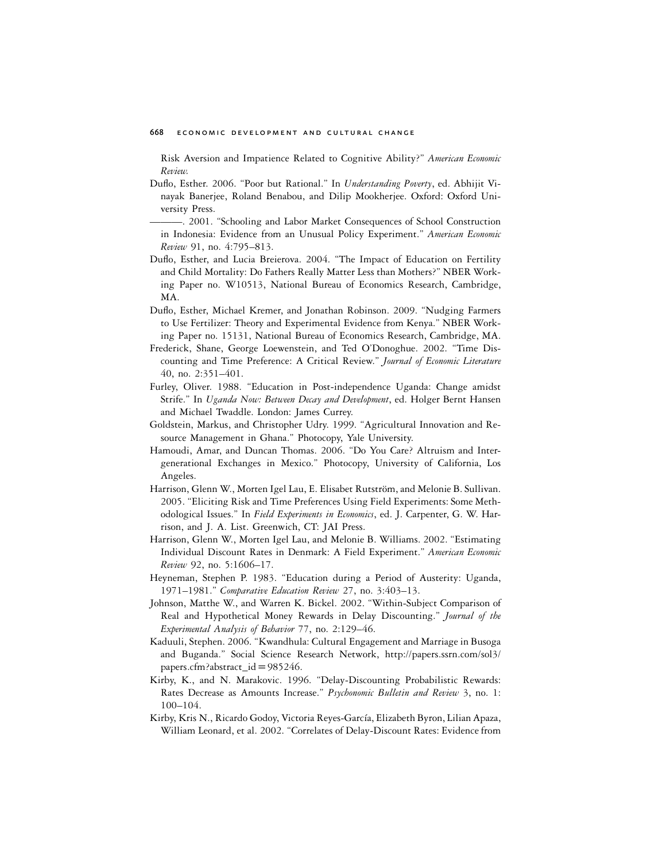Risk Aversion and Impatience Related to Cognitive Ability?" *American Economic Review.*

- Duflo, Esther. 2006. "Poor but Rational." In *Understanding Poverty*, ed. Abhijit Vinayak Banerjee, Roland Benabou, and Dilip Mookherjee. Oxford: Oxford University Press.
- -. 2001. "Schooling and Labor Market Consequences of School Construction in Indonesia: Evidence from an Unusual Policy Experiment." *American Economic Review* 91, no. 4:795–813.
- Duflo, Esther, and Lucia Breierova. 2004. "The Impact of Education on Fertility and Child Mortality: Do Fathers Really Matter Less than Mothers?" NBER Working Paper no. W10513, National Bureau of Economics Research, Cambridge, MA.
- Duflo, Esther, Michael Kremer, and Jonathan Robinson. 2009. "Nudging Farmers to Use Fertilizer: Theory and Experimental Evidence from Kenya." NBER Working Paper no. 15131, National Bureau of Economics Research, Cambridge, MA.
- Frederick, Shane, George Loewenstein, and Ted O'Donoghue. 2002. "Time Discounting and Time Preference: A Critical Review." *Journal of Economic Literature* 40, no. 2:351–401.
- Furley, Oliver. 1988. "Education in Post-independence Uganda: Change amidst Strife." In *Uganda Now: Between Decay and Development*, ed. Holger Bernt Hansen and Michael Twaddle. London: James Currey.
- Goldstein, Markus, and Christopher Udry. 1999. "Agricultural Innovation and Resource Management in Ghana." Photocopy, Yale University.
- Hamoudi, Amar, and Duncan Thomas. 2006. "Do You Care? Altruism and Intergenerational Exchanges in Mexico." Photocopy, University of California, Los Angeles.
- Harrison, Glenn W., Morten Igel Lau, E. Elisabet Rutström, and Melonie B. Sullivan. 2005. "Eliciting Risk and Time Preferences Using Field Experiments: Some Methodological Issues." In *Field Experiments in Economics*, ed. J. Carpenter, G. W. Harrison, and J. A. List. Greenwich, CT: JAI Press.
- Harrison, Glenn W., Morten Igel Lau, and Melonie B. Williams. 2002. "Estimating Individual Discount Rates in Denmark: A Field Experiment." *American Economic Review* 92, no. 5:1606–17.
- Heyneman, Stephen P. 1983. "Education during a Period of Austerity: Uganda, 1971–1981." *Comparative Education Review* 27, no. 3:403–13.
- Johnson, Matthe W., and Warren K. Bickel. 2002. "Within-Subject Comparison of Real and Hypothetical Money Rewards in Delay Discounting." *Journal of the Experimental Analysis of Behavior* 77, no. 2:129–46.
- Kaduuli, Stephen. 2006. "Kwandhula: Cultural Engagement and Marriage in Busoga and Buganda." Social Science Research Network, http://papers.ssrn.com/sol3/ papers.cfm?abstract\_id=985246.
- Kirby, K., and N. Marakovic. 1996. "Delay-Discounting Probabilistic Rewards: Rates Decrease as Amounts Increase." *Psychonomic Bulletin and Review* 3, no. 1: 100–104.
- Kirby, Kris N., Ricardo Godoy, Victoria Reyes-García, Elizabeth Byron, Lilian Apaza, William Leonard, et al. 2002. "Correlates of Delay-Discount Rates: Evidence from